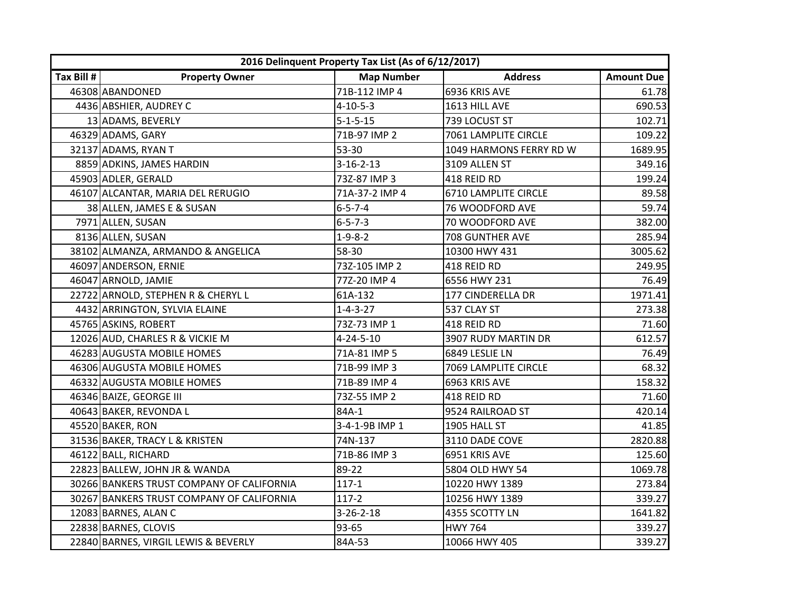|            | 2016 Delinquent Property Tax List (As of 6/12/2017) |                   |                         |                   |
|------------|-----------------------------------------------------|-------------------|-------------------------|-------------------|
| Tax Bill # | <b>Property Owner</b>                               | <b>Map Number</b> | <b>Address</b>          | <b>Amount Due</b> |
|            | 46308 ABANDONED                                     | 71B-112 IMP 4     | 6936 KRIS AVE           | 61.78             |
|            | 4436 ABSHIER, AUDREY C                              | $4 - 10 - 5 - 3$  | 1613 HILL AVE           | 690.53            |
|            | 13 ADAMS, BEVERLY                                   | $5 - 1 - 5 - 15$  | 739 LOCUST ST           | 102.71            |
|            | 46329 ADAMS, GARY                                   | 71B-97 IMP 2      | 7061 LAMPLITE CIRCLE    | 109.22            |
|            | 32137 ADAMS, RYAN T                                 | 53-30             | 1049 HARMONS FERRY RD W | 1689.95           |
|            | 8859 ADKINS, JAMES HARDIN                           | $3 - 16 - 2 - 13$ | 3109 ALLEN ST           | 349.16            |
|            | 45903 ADLER, GERALD                                 | 73Z-87 IMP 3      | 418 REID RD             | 199.24            |
|            | 46107 ALCANTAR, MARIA DEL RERUGIO                   | 71A-37-2 IMP 4    | 6710 LAMPLITE CIRCLE    | 89.58             |
|            | 38 ALLEN, JAMES E & SUSAN                           | $6 - 5 - 7 - 4$   | 76 WOODFORD AVE         | 59.74             |
|            | 7971 ALLEN, SUSAN                                   | $6 - 5 - 7 - 3$   | 70 WOODFORD AVE         | 382.00            |
|            | 8136 ALLEN, SUSAN                                   | $1 - 9 - 8 - 2$   | 708 GUNTHER AVE         | 285.94            |
|            | 38102 ALMANZA, ARMANDO & ANGELICA                   | 58-30             | 10300 HWY 431           | 3005.62           |
|            | 46097 ANDERSON, ERNIE                               | 73Z-105 IMP 2     | 418 REID RD             | 249.95            |
|            | 46047 ARNOLD, JAMIE                                 | 77Z-20 IMP 4      | 6556 HWY 231            | 76.49             |
|            | 22722 ARNOLD, STEPHEN R & CHERYL L                  | 61A-132           | 177 CINDERELLA DR       | 1971.41           |
|            | 4432 ARRINGTON, SYLVIA ELAINE                       | $1 - 4 - 3 - 27$  | 537 CLAY ST             | 273.38            |
|            | 45765 ASKINS, ROBERT                                | 73Z-73 IMP 1      | 418 REID RD             | 71.60             |
|            | 12026 AUD, CHARLES R & VICKIE M                     | $4 - 24 - 5 - 10$ | 3907 RUDY MARTIN DR     | 612.57            |
|            | 46283 AUGUSTA MOBILE HOMES                          | 71A-81 IMP 5      | 6849 LESLIE LN          | 76.49             |
|            | 46306 AUGUSTA MOBILE HOMES                          | 71B-99 IMP 3      | 7069 LAMPLITE CIRCLE    | 68.32             |
|            | 46332 AUGUSTA MOBILE HOMES                          | 71B-89 IMP 4      | 6963 KRIS AVE           | 158.32            |
|            | 46346 BAIZE, GEORGE III                             | 73Z-55 IMP 2      | 418 REID RD             | 71.60             |
|            | 40643 BAKER, REVONDA L                              | 84A-1             | 9524 RAILROAD ST        | 420.14            |
|            | 45520 BAKER, RON                                    | 3-4-1-9B IMP 1    | 1905 HALL ST            | 41.85             |
|            | 31536 BAKER, TRACY L & KRISTEN                      | 74N-137           | 3110 DADE COVE          | 2820.88           |
|            | 46122 BALL, RICHARD                                 | 71B-86 IMP 3      | 6951 KRIS AVE           | 125.60            |
|            | 22823 BALLEW, JOHN JR & WANDA                       | 89-22             | 5804 OLD HWY 54         | 1069.78           |
|            | 30266 BANKERS TRUST COMPANY OF CALIFORNIA           | $117 - 1$         | 10220 HWY 1389          | 273.84            |
|            | 30267 BANKERS TRUST COMPANY OF CALIFORNIA           | $117 - 2$         | 10256 HWY 1389          | 339.27            |
|            | 12083 BARNES, ALAN C                                | $3 - 26 - 2 - 18$ | 4355 SCOTTY LN          | 1641.82           |
|            | 22838 BARNES, CLOVIS                                | 93-65             | <b>HWY 764</b>          | 339.27            |
|            | 22840 BARNES, VIRGIL LEWIS & BEVERLY                | 84A-53            | 10066 HWY 405           | 339.27            |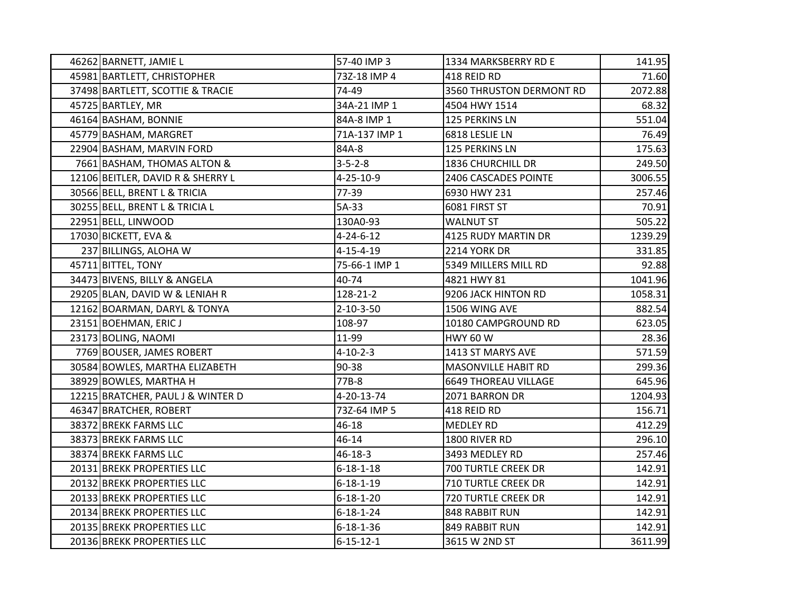| 46262 BARNETT, JAMIE L            | 57-40 IMP 3       | 1334 MARKSBERRY RD E        | 141.95  |
|-----------------------------------|-------------------|-----------------------------|---------|
| 45981 BARTLETT, CHRISTOPHER       | 73Z-18 IMP 4      | 418 REID RD                 | 71.60   |
| 37498 BARTLETT, SCOTTIE & TRACIE  | 74-49             | 3560 THRUSTON DERMONT RD    | 2072.88 |
| 45725 BARTLEY, MR                 | 34A-21 IMP 1      | 4504 HWY 1514               | 68.32   |
| 46164 BASHAM, BONNIE              | 84A-8 IMP 1       | 125 PERKINS LN              | 551.04  |
| 45779 BASHAM, MARGRET             | 71A-137 IMP 1     | 6818 LESLIE LN              | 76.49   |
| 22904 BASHAM, MARVIN FORD         | 84A-8             | 125 PERKINS LN              | 175.63  |
| 7661 BASHAM, THOMAS ALTON &       | $3 - 5 - 2 - 8$   | 1836 CHURCHILL DR           | 249.50  |
| 12106 BEITLER, DAVID R & SHERRY L | $4 - 25 - 10 - 9$ | 2406 CASCADES POINTE        | 3006.55 |
| 30566 BELL, BRENT L & TRICIA      | 77-39             | 6930 HWY 231                | 257.46  |
| 30255 BELL, BRENT L & TRICIA L    | 5A-33             | 6081 FIRST ST               | 70.91   |
| 22951 BELL, LINWOOD               | 130A0-93          | <b>WALNUT ST</b>            | 505.22  |
| 17030 BICKETT, EVA &              | $4 - 24 - 6 - 12$ | 4125 RUDY MARTIN DR         | 1239.29 |
| 237 BILLINGS, ALOHA W             | $4 - 15 - 4 - 19$ | 2214 YORK DR                | 331.85  |
| 45711 BITTEL, TONY                | 75-66-1 IMP 1     | 5349 MILLERS MILL RD        | 92.88   |
| 34473 BIVENS, BILLY & ANGELA      | 40-74             | 4821 HWY 81                 | 1041.96 |
| 29205 BLAN, DAVID W & LENIAH R    | 128-21-2          | 9206 JACK HINTON RD         | 1058.31 |
| 12162 BOARMAN, DARYL & TONYA      | $2 - 10 - 3 - 50$ | 1506 WING AVE               | 882.54  |
| 23151 BOEHMAN, ERIC J             | 108-97            | 10180 CAMPGROUND RD         | 623.05  |
| 23173 BOLING, NAOMI               | 11-99             | <b>HWY 60 W</b>             | 28.36   |
| 7769 BOUSER, JAMES ROBERT         | $4 - 10 - 2 - 3$  | 1413 ST MARYS AVE           | 571.59  |
| 30584 BOWLES, MARTHA ELIZABETH    | 90-38             | MASONVILLE HABIT RD         | 299.36  |
| 38929 BOWLES, MARTHA H            | 77B-8             | <b>6649 THOREAU VILLAGE</b> | 645.96  |
| 12215 BRATCHER, PAUL J & WINTER D | 4-20-13-74        | 2071 BARRON DR              | 1204.93 |
| 46347 BRATCHER, ROBERT            | 73Z-64 IMP 5      | 418 REID RD                 | 156.71  |
| 38372 BREKK FARMS LLC             | 46-18             | MEDLEY RD                   | 412.29  |
| 38373 BREKK FARMS LLC             | 46-14             | 1800 RIVER RD               | 296.10  |
| 38374 BREKK FARMS LLC             | $46 - 18 - 3$     | 3493 MEDLEY RD              | 257.46  |
| 20131 BREKK PROPERTIES LLC        | $6 - 18 - 1 - 18$ | 700 TURTLE CREEK DR         | 142.91  |
| 20132 BREKK PROPERTIES LLC        | $6 - 18 - 1 - 19$ | <b>710 TURTLE CREEK DR</b>  | 142.91  |
| 20133 BREKK PROPERTIES LLC        | $6 - 18 - 1 - 20$ | 720 TURTLE CREEK DR         | 142.91  |
| 20134 BREKK PROPERTIES LLC        | $6 - 18 - 1 - 24$ | 848 RABBIT RUN              | 142.91  |
| 20135 BREKK PROPERTIES LLC        | $6 - 18 - 1 - 36$ | 849 RABBIT RUN              | 142.91  |
| 20136 BREKK PROPERTIES LLC        | $6 - 15 - 12 - 1$ | 3615 W 2ND ST               | 3611.99 |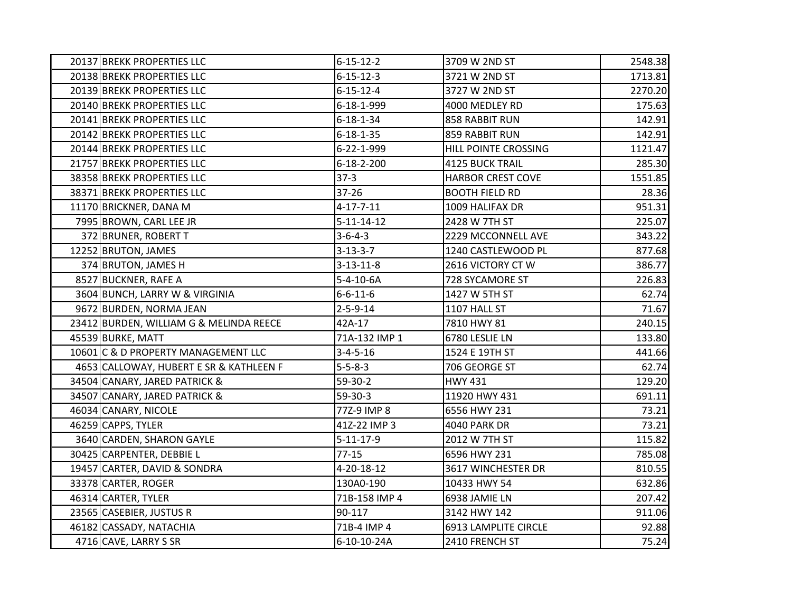| 20137 BREKK PROPERTIES LLC              | $6 - 15 - 12 - 2$  | 3709 W 2ND ST            | 2548.38 |
|-----------------------------------------|--------------------|--------------------------|---------|
| 20138 BREKK PROPERTIES LLC              | $6 - 15 - 12 - 3$  | 3721 W 2ND ST            | 1713.81 |
| 20139 BREKK PROPERTIES LLC              | $6 - 15 - 12 - 4$  | 3727 W 2ND ST            | 2270.20 |
| 20140 BREKK PROPERTIES LLC              | 6-18-1-999         | 4000 MEDLEY RD           | 175.63  |
| 20141 BREKK PROPERTIES LLC              | $6 - 18 - 1 - 34$  | 858 RABBIT RUN           | 142.91  |
| 20142 BREKK PROPERTIES LLC              | $6 - 18 - 1 - 35$  | 859 RABBIT RUN           | 142.91  |
| 20144 BREKK PROPERTIES LLC              | 6-22-1-999         | HILL POINTE CROSSING     | 1121.47 |
| 21757 BREKK PROPERTIES LLC              | $6 - 18 - 2 - 200$ | <b>4125 BUCK TRAIL</b>   | 285.30  |
| 38358 BREKK PROPERTIES LLC              | $37-3$             | <b>HARBOR CREST COVE</b> | 1551.85 |
| 38371 BREKK PROPERTIES LLC              | 37-26              | <b>BOOTH FIELD RD</b>    | 28.36   |
| 11170 BRICKNER, DANA M                  | $4 - 17 - 7 - 11$  | 1009 HALIFAX DR          | 951.31  |
| 7995 BROWN, CARL LEE JR                 | $5 - 11 - 14 - 12$ | 2428 W 7TH ST            | 225.07  |
| 372 BRUNER, ROBERT T                    | $3 - 6 - 4 - 3$    | 2229 MCCONNELL AVE       | 343.22  |
| 12252 BRUTON, JAMES                     | $3 - 13 - 3 - 7$   | 1240 CASTLEWOOD PL       | 877.68  |
| 374 BRUTON, JAMES H                     | $3 - 13 - 11 - 8$  | 2616 VICTORY CT W        | 386.77  |
| 8527 BUCKNER, RAFE A                    | $5 - 4 - 10 - 6A$  | 728 SYCAMORE ST          | 226.83  |
| 3604 BUNCH, LARRY W & VIRGINIA          | $6 - 6 - 11 - 6$   | 1427 W 5TH ST            | 62.74   |
| 9672 BURDEN, NORMA JEAN                 | $2 - 5 - 9 - 14$   | 1107 HALL ST             | 71.67   |
| 23412 BURDEN, WILLIAM G & MELINDA REECE | 42A-17             | 7810 HWY 81              | 240.15  |
| 45539 BURKE, MATT                       | 71A-132 IMP 1      | 6780 LESLIE LN           | 133.80  |
| 10601 C & D PROPERTY MANAGEMENT LLC     | $3 - 4 - 5 - 16$   | 1524 E 19TH ST           | 441.66  |
| 4653 CALLOWAY, HUBERT E SR & KATHLEEN F | $5 - 5 - 8 - 3$    | 706 GEORGE ST            | 62.74   |
| 34504 CANARY, JARED PATRICK &           | 59-30-2            | <b>HWY 431</b>           | 129.20  |
| 34507 CANARY, JARED PATRICK &           | 59-30-3            | 11920 HWY 431            | 691.11  |
| 46034 CANARY, NICOLE                    | 77Z-9 IMP 8        | 6556 HWY 231             | 73.21   |
| 46259 CAPPS, TYLER                      | 41Z-22 IMP 3       | <b>4040 PARK DR</b>      | 73.21   |
| 3640 CARDEN, SHARON GAYLE               | $5 - 11 - 17 - 9$  | 2012 W 7TH ST            | 115.82  |
| 30425 CARPENTER, DEBBIE L               | $77-15$            | 6596 HWY 231             | 785.08  |
| 19457 CARTER, DAVID & SONDRA            | 4-20-18-12         | 3617 WINCHESTER DR       | 810.55  |
| 33378 CARTER, ROGER                     | 130A0-190          | 10433 HWY 54             | 632.86  |
| 46314 CARTER, TYLER                     | 71B-158 IMP 4      | 6938 JAMIE LN            | 207.42  |
| 23565 CASEBIER, JUSTUS R                | 90-117             | 3142 HWY 142             | 911.06  |
| 46182 CASSADY, NATACHIA                 | 71B-4 IMP 4        | 6913 LAMPLITE CIRCLE     | 92.88   |
| 4716 CAVE, LARRY S SR                   | 6-10-10-24A        | 2410 FRENCH ST           | 75.24   |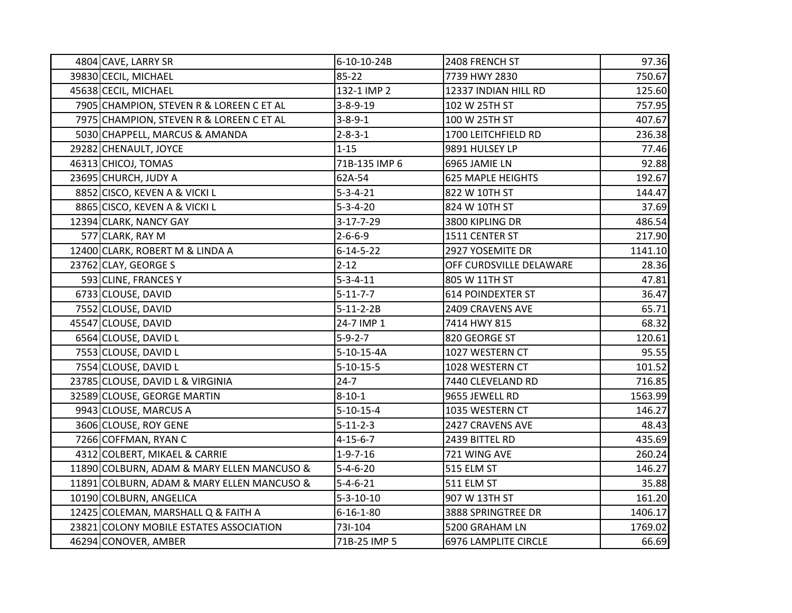| 4804 CAVE, LARRY SR                        | 6-10-10-24B       | 2408 FRENCH ST           | 97.36   |
|--------------------------------------------|-------------------|--------------------------|---------|
| 39830 CECIL, MICHAEL                       | 85-22             | 7739 HWY 2830            | 750.67  |
| 45638 CECIL, MICHAEL                       | 132-1 IMP 2       | 12337 INDIAN HILL RD     | 125.60  |
| 7905 CHAMPION, STEVEN R & LOREEN C ET AL   | $3 - 8 - 9 - 19$  | 102 W 25TH ST            | 757.95  |
| 7975 CHAMPION, STEVEN R & LOREEN C ET AL   | $3 - 8 - 9 - 1$   | 100 W 25TH ST            | 407.67  |
| 5030 CHAPPELL, MARCUS & AMANDA             | $2 - 8 - 3 - 1$   | 1700 LEITCHFIELD RD      | 236.38  |
| 29282 CHENAULT, JOYCE                      | $1 - 15$          | 9891 HULSEY LP           | 77.46   |
| 46313 CHICOJ, TOMAS                        | 71B-135 IMP 6     | 6965 JAMIE LN            | 92.88   |
| 23695 CHURCH, JUDY A                       | 62A-54            | <b>625 MAPLE HEIGHTS</b> | 192.67  |
| 8852 CISCO, KEVEN A & VICKI L              | $5 - 3 - 4 - 21$  | 822 W 10TH ST            | 144.47  |
| 8865 CISCO, KEVEN A & VICKI L              | $5 - 3 - 4 - 20$  | 824 W 10TH ST            | 37.69   |
| 12394 CLARK, NANCY GAY                     | $3 - 17 - 7 - 29$ | 3800 KIPLING DR          | 486.54  |
| 577 CLARK, RAY M                           | $2 - 6 - 6 - 9$   | 1511 CENTER ST           | 217.90  |
| 12400 CLARK, ROBERT M & LINDA A            | $6 - 14 - 5 - 22$ | 2927 YOSEMITE DR         | 1141.10 |
| 23762 CLAY, GEORGE S                       | $2 - 12$          | OFF CURDSVILLE DELAWARE  | 28.36   |
| 593 CLINE, FRANCES Y                       | $5 - 3 - 4 - 11$  | 805 W 11TH ST            | 47.81   |
| 6733 CLOUSE, DAVID                         | $5 - 11 - 7 - 7$  | <b>614 POINDEXTER ST</b> | 36.47   |
| 7552 CLOUSE, DAVID                         | $5 - 11 - 2 - 2B$ | 2409 CRAVENS AVE         | 65.71   |
| 45547 CLOUSE, DAVID                        | 24-7 IMP 1        | 7414 HWY 815             | 68.32   |
| 6564 CLOUSE, DAVID L                       | $5-9-2-7$         | 820 GEORGE ST            | 120.61  |
| 7553 CLOUSE, DAVID L                       | 5-10-15-4A        | 1027 WESTERN CT          | 95.55   |
| 7554 CLOUSE, DAVID L                       | $5 - 10 - 15 - 5$ | 1028 WESTERN CT          | 101.52  |
| 23785 CLOUSE, DAVID L & VIRGINIA           | $24 - 7$          | 7440 CLEVELAND RD        | 716.85  |
| 32589 CLOUSE, GEORGE MARTIN                | $8 - 10 - 1$      | 9655 JEWELL RD           | 1563.99 |
| 9943 CLOUSE, MARCUS A                      | $5 - 10 - 15 - 4$ | 1035 WESTERN CT          | 146.27  |
| 3606 CLOUSE, ROY GENE                      | $5 - 11 - 2 - 3$  | 2427 CRAVENS AVE         | 48.43   |
| 7266 COFFMAN, RYAN C                       | $4 - 15 - 6 - 7$  | 2439 BITTEL RD           | 435.69  |
| 4312 COLBERT, MIKAEL & CARRIE              | $1 - 9 - 7 - 16$  | 721 WING AVE             | 260.24  |
| 11890 COLBURN, ADAM & MARY ELLEN MANCUSO & | $5 - 4 - 6 - 20$  | 515 ELM ST               | 146.27  |
| 11891 COLBURN, ADAM & MARY ELLEN MANCUSO & | $5 - 4 - 6 - 21$  | 511 ELM ST               | 35.88   |
| 10190 COLBURN, ANGELICA                    | $5 - 3 - 10 - 10$ | 907 W 13TH ST            | 161.20  |
| 12425 COLEMAN, MARSHALL Q & FAITH A        | $6 - 16 - 1 - 80$ | 3888 SPRINGTREE DR       | 1406.17 |
| 23821 COLONY MOBILE ESTATES ASSOCIATION    | 731-104           | 5200 GRAHAM LN           | 1769.02 |
| 46294 CONOVER, AMBER                       | 71B-25 IMP 5      | 6976 LAMPLITE CIRCLE     | 66.69   |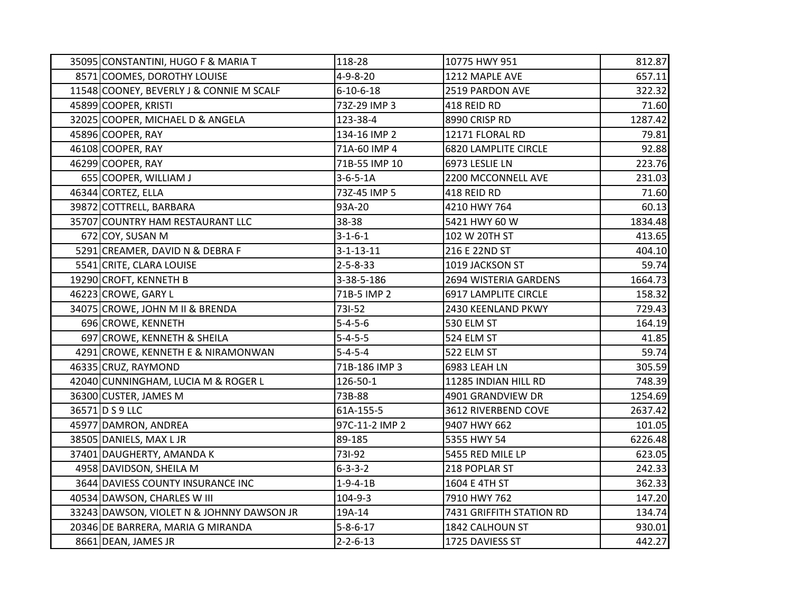| 35095 CONSTANTINI, HUGO F & MARIA T       | 118-28            | 10775 HWY 951               | 812.87  |
|-------------------------------------------|-------------------|-----------------------------|---------|
| 8571 COOMES, DOROTHY LOUISE               | $4 - 9 - 8 - 20$  | 1212 MAPLE AVE              | 657.11  |
| 11548 COONEY, BEVERLY J & CONNIE M SCALF  | $6 - 10 - 6 - 18$ | 2519 PARDON AVE             | 322.32  |
| 45899 COOPER, KRISTI                      | 73Z-29 IMP 3      | 418 REID RD                 | 71.60   |
| 32025 COOPER, MICHAEL D & ANGELA          | 123-38-4          | 8990 CRISP RD               | 1287.42 |
| 45896 COOPER, RAY                         | 134-16 IMP 2      | 12171 FLORAL RD             | 79.81   |
| 46108 COOPER, RAY                         | 71A-60 IMP 4      | <b>6820 LAMPLITE CIRCLE</b> | 92.88   |
| 46299 COOPER, RAY                         | 71B-55 IMP 10     | 6973 LESLIE LN              | 223.76  |
| 655 COOPER, WILLIAM J                     | $3 - 6 - 5 - 1A$  | 2200 MCCONNELL AVE          | 231.03  |
| 46344 CORTEZ, ELLA                        | 73Z-45 IMP 5      | 418 REID RD                 | 71.60   |
| 39872 COTTRELL, BARBARA                   | 93A-20            | 4210 HWY 764                | 60.13   |
| 35707 COUNTRY HAM RESTAURANT LLC          | 38-38             | 5421 HWY 60 W               | 1834.48 |
| 672 COY, SUSAN M                          | $3 - 1 - 6 - 1$   | 102 W 20TH ST               | 413.65  |
| 5291 CREAMER, DAVID N & DEBRA F           | $3 - 1 - 13 - 11$ | 216 E 22ND ST               | 404.10  |
| 5541 CRITE, CLARA LOUISE                  | $2 - 5 - 8 - 33$  | 1019 JACKSON ST             | 59.74   |
| 19290 CROFT, KENNETH B                    | 3-38-5-186        | 2694 WISTERIA GARDENS       | 1664.73 |
| 46223 CROWE, GARY L                       | 71B-5 IMP 2       | 6917 LAMPLITE CIRCLE        | 158.32  |
| 34075 CROWE, JOHN M II & BRENDA           | 731-52            | 2430 KEENLAND PKWY          | 729.43  |
| 696 CROWE, KENNETH                        | $5 - 4 - 5 - 6$   | 530 ELM ST                  | 164.19  |
| 697 CROWE, KENNETH & SHEILA               | $5 - 4 - 5 - 5$   | 524 ELM ST                  | 41.85   |
| 4291 CROWE, KENNETH E & NIRAMONWAN        | $5 - 4 - 5 - 4$   | 522 ELM ST                  | 59.74   |
| 46335 CRUZ, RAYMOND                       | 71B-186 IMP 3     | 6983 LEAH LN                | 305.59  |
| 42040 CUNNINGHAM, LUCIA M & ROGER L       | 126-50-1          | 11285 INDIAN HILL RD        | 748.39  |
| 36300 CUSTER, JAMES M                     | 73B-88            | 4901 GRANDVIEW DR           | 1254.69 |
| 36571 D S 9 LLC                           | 61A-155-5         | 3612 RIVERBEND COVE         | 2637.42 |
| 45977 DAMRON, ANDREA                      | 97C-11-2 IMP 2    | 9407 HWY 662                | 101.05  |
| 38505 DANIELS, MAX L JR                   | 89-185            | 5355 HWY 54                 | 6226.48 |
| 37401 DAUGHERTY, AMANDA K                 | 731-92            | 5455 RED MILE LP            | 623.05  |
| 4958 DAVIDSON, SHEILA M                   | $6 - 3 - 3 - 2$   | 218 POPLAR ST               | 242.33  |
| 3644 DAVIESS COUNTY INSURANCE INC         | $1 - 9 - 4 - 1B$  | 1604 E 4TH ST               | 362.33  |
| 40534 DAWSON, CHARLES W III               | 104-9-3           | 7910 HWY 762                | 147.20  |
| 33243 DAWSON, VIOLET N & JOHNNY DAWSON JR | 19A-14            | 7431 GRIFFITH STATION RD    | 134.74  |
| 20346 DE BARRERA, MARIA G MIRANDA         | $5 - 8 - 6 - 17$  | 1842 CALHOUN ST             | 930.01  |
| 8661 DEAN, JAMES JR                       | $2 - 2 - 6 - 13$  | 1725 DAVIESS ST             | 442.27  |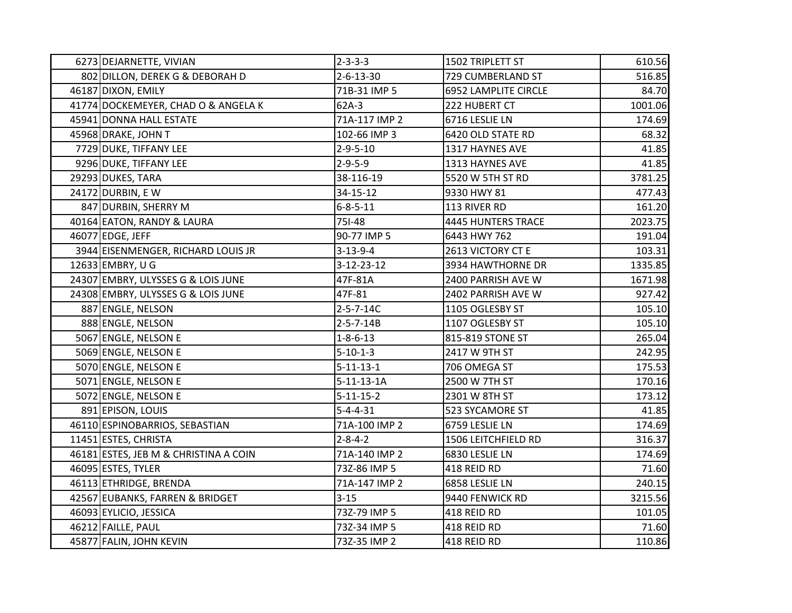| 6273 DEJARNETTE, VIVIAN               | $2 - 3 - 3 - 3$    | 1502 TRIPLETT ST            | 610.56  |
|---------------------------------------|--------------------|-----------------------------|---------|
| 802 DILLON, DEREK G & DEBORAH D       | $2 - 6 - 13 - 30$  | 729 CUMBERLAND ST           | 516.85  |
| 46187 DIXON, EMILY                    | 71B-31 IMP 5       | <b>6952 LAMPLITE CIRCLE</b> | 84.70   |
| 41774 DOCKEMEYER, CHAD O & ANGELA K   | $62A-3$            | 222 HUBERT CT               | 1001.06 |
| 45941 DONNA HALL ESTATE               | 71A-117 IMP 2      | 6716 LESLIE LN              | 174.69  |
| 45968 DRAKE, JOHN T                   | 102-66 IMP 3       | 6420 OLD STATE RD           | 68.32   |
| 7729 DUKE, TIFFANY LEE                | $2 - 9 - 5 - 10$   | 1317 HAYNES AVE             | 41.85   |
| 9296 DUKE, TIFFANY LEE                | $2 - 9 - 5 - 9$    | 1313 HAYNES AVE             | 41.85   |
| 29293 DUKES, TARA                     | 38-116-19          | 5520 W 5TH ST RD            | 3781.25 |
| 24172 DURBIN, E W                     | 34-15-12           | 9330 HWY 81                 | 477.43  |
| 847 DURBIN, SHERRY M                  | $6 - 8 - 5 - 11$   | 113 RIVER RD                | 161.20  |
| 40164 EATON, RANDY & LAURA            | 751-48             | 4445 HUNTERS TRACE          | 2023.75 |
| 46077 EDGE, JEFF                      | 90-77 IMP 5        | 6443 HWY 762                | 191.04  |
| 3944 EISENMENGER, RICHARD LOUIS JR    | $3 - 13 - 9 - 4$   | 2613 VICTORY CT E           | 103.31  |
| 12633 EMBRY, U G                      | $3 - 12 - 23 - 12$ | 3934 HAWTHORNE DR           | 1335.85 |
| 24307 EMBRY, ULYSSES G & LOIS JUNE    | 47F-81A            | 2400 PARRISH AVE W          | 1671.98 |
| 24308 EMBRY, ULYSSES G & LOIS JUNE    | 47F-81             | 2402 PARRISH AVE W          | 927.42  |
| 887 ENGLE, NELSON                     | $2 - 5 - 7 - 14C$  | 1105 OGLESBY ST             | 105.10  |
| 888 ENGLE, NELSON                     | $2 - 5 - 7 - 14B$  | 1107 OGLESBY ST             | 105.10  |
| 5067 ENGLE, NELSON E                  | $1 - 8 - 6 - 13$   | 815-819 STONE ST            | 265.04  |
| 5069 ENGLE, NELSON E                  | $5 - 10 - 1 - 3$   | 2417 W 9TH ST               | 242.95  |
| 5070 ENGLE, NELSON E                  | $5 - 11 - 13 - 1$  | 706 OMEGA ST                | 175.53  |
| 5071 ENGLE, NELSON E                  | $5 - 11 - 13 - 1A$ | 2500 W 7TH ST               | 170.16  |
| 5072 ENGLE, NELSON E                  | $5 - 11 - 15 - 2$  | 2301 W 8TH ST               | 173.12  |
| 891 EPISON, LOUIS                     | $5 - 4 - 4 - 31$   | 523 SYCAMORE ST             | 41.85   |
| 46110 ESPINOBARRIOS, SEBASTIAN        | 71A-100 IMP 2      | 6759 LESLIE LN              | 174.69  |
| 11451 ESTES, CHRISTA                  | $2 - 8 - 4 - 2$    | 1506 LEITCHFIELD RD         | 316.37  |
| 46181 ESTES, JEB M & CHRISTINA A COIN | 71A-140 IMP 2      | 6830 LESLIE LN              | 174.69  |
| 46095 ESTES, TYLER                    | 73Z-86 IMP 5       | 418 REID RD                 | 71.60   |
| 46113 ETHRIDGE, BRENDA                | 71A-147 IMP 2      | 6858 LESLIE LN              | 240.15  |
| 42567 EUBANKS, FARREN & BRIDGET       | $3 - 15$           | 9440 FENWICK RD             | 3215.56 |
| 46093 EYLICIO, JESSICA                | 73Z-79 IMP 5       | 418 REID RD                 | 101.05  |
| 46212 FAILLE, PAUL                    | 73Z-34 IMP 5       | 418 REID RD                 | 71.60   |
| 45877 FALIN, JOHN KEVIN               | 73Z-35 IMP 2       | 418 REID RD                 | 110.86  |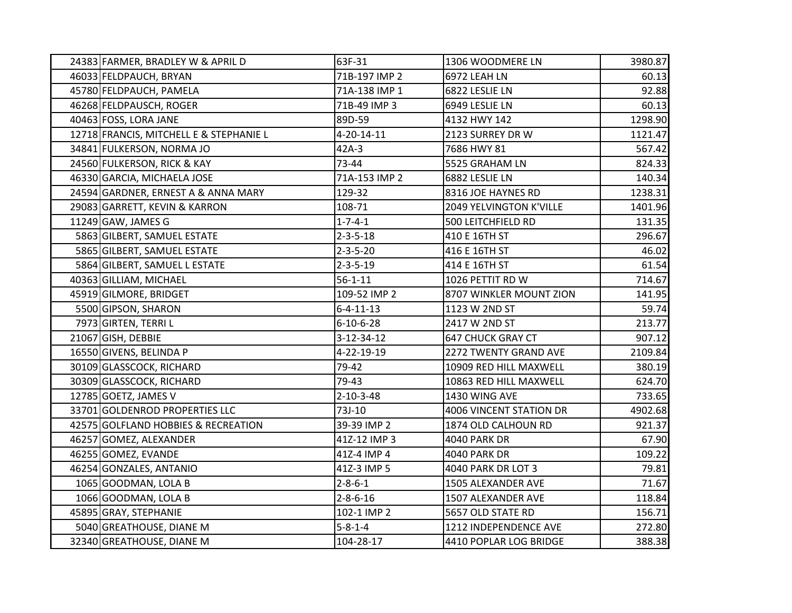| 24383 FARMER, BRADLEY W & APRIL D       | 63F-31             | 1306 WOODMERE LN         | 3980.87 |
|-----------------------------------------|--------------------|--------------------------|---------|
| 46033 FELDPAUCH, BRYAN                  | 71B-197 IMP 2      | 6972 LEAH LN             | 60.13   |
| 45780 FELDPAUCH, PAMELA                 | 71A-138 IMP 1      | 6822 LESLIE LN           | 92.88   |
| 46268 FELDPAUSCH, ROGER                 | 71B-49 IMP 3       | 6949 LESLIE LN           | 60.13   |
| 40463 FOSS, LORA JANE                   | 89D-59             | 4132 HWY 142             | 1298.90 |
| 12718 FRANCIS, MITCHELL E & STEPHANIE L | $4 - 20 - 14 - 11$ | 2123 SURREY DR W         | 1121.47 |
| 34841 FULKERSON, NORMA JO               | $42A-3$            | 7686 HWY 81              | 567.42  |
| 24560 FULKERSON, RICK & KAY             | 73-44              | 5525 GRAHAM LN           | 824.33  |
| 46330 GARCIA, MICHAELA JOSE             | 71A-153 IMP 2      | 6882 LESLIE LN           | 140.34  |
| 24594 GARDNER, ERNEST A & ANNA MARY     | 129-32             | 8316 JOE HAYNES RD       | 1238.31 |
| 29083 GARRETT, KEVIN & KARRON           | 108-71             | 2049 YELVINGTON K'VILLE  | 1401.96 |
| 11249 GAW, JAMES G                      | $1 - 7 - 4 - 1$    | 500 LEITCHFIELD RD       | 131.35  |
| 5863 GILBERT, SAMUEL ESTATE             | $2 - 3 - 5 - 18$   | 410 E 16TH ST            | 296.67  |
| 5865 GILBERT, SAMUEL ESTATE             | $2 - 3 - 5 - 20$   | 416 E 16TH ST            | 46.02   |
| 5864 GILBERT, SAMUEL L ESTATE           | $2 - 3 - 5 - 19$   | 414 E 16TH ST            | 61.54   |
| 40363 GILLIAM, MICHAEL                  | $56 - 1 - 11$      | 1026 PETTIT RD W         | 714.67  |
| 45919 GILMORE, BRIDGET                  | 109-52 IMP 2       | 8707 WINKLER MOUNT ZION  | 141.95  |
| 5500 GIPSON, SHARON                     | $6 - 4 - 11 - 13$  | 1123 W 2ND ST            | 59.74   |
| 7973 GIRTEN, TERRI L                    | $6 - 10 - 6 - 28$  | 2417 W 2ND ST            | 213.77  |
| 21067 GISH, DEBBIE                      | $3 - 12 - 34 - 12$ | <b>647 CHUCK GRAY CT</b> | 907.12  |
| 16550 GIVENS, BELINDA P                 | 4-22-19-19         | 2272 TWENTY GRAND AVE    | 2109.84 |
| 30109 GLASSCOCK, RICHARD                | 79-42              | 10909 RED HILL MAXWELL   | 380.19  |
| 30309 GLASSCOCK, RICHARD                | 79-43              | 10863 RED HILL MAXWELL   | 624.70  |
| 12785 GOETZ, JAMES V                    | $2 - 10 - 3 - 48$  | 1430 WING AVE            | 733.65  |
| 33701 GOLDENROD PROPERTIES LLC          | 73J-10             | 4006 VINCENT STATION DR  | 4902.68 |
| 42575 GOLFLAND HOBBIES & RECREATION     | 39-39 IMP 2        | 1874 OLD CALHOUN RD      | 921.37  |
| 46257 GOMEZ, ALEXANDER                  | 41Z-12 IMP 3       | <b>4040 PARK DR</b>      | 67.90   |
| 46255 GOMEZ, EVANDE                     | 41Z-4 IMP 4        | <b>4040 PARK DR</b>      | 109.22  |
| 46254 GONZALES, ANTANIO                 | 41Z-3 IMP 5        | 4040 PARK DR LOT 3       | 79.81   |
| 1065 GOODMAN, LOLA B                    | $2 - 8 - 6 - 1$    | 1505 ALEXANDER AVE       | 71.67   |
| 1066 GOODMAN, LOLA B                    | $2 - 8 - 6 - 16$   | 1507 ALEXANDER AVE       | 118.84  |
| 45895 GRAY, STEPHANIE                   | 102-1 IMP 2        | 5657 OLD STATE RD        | 156.71  |
| 5040 GREATHOUSE, DIANE M                | $5 - 8 - 1 - 4$    | 1212 INDEPENDENCE AVE    | 272.80  |
| 32340 GREATHOUSE, DIANE M               | 104-28-17          | 4410 POPLAR LOG BRIDGE   | 388.38  |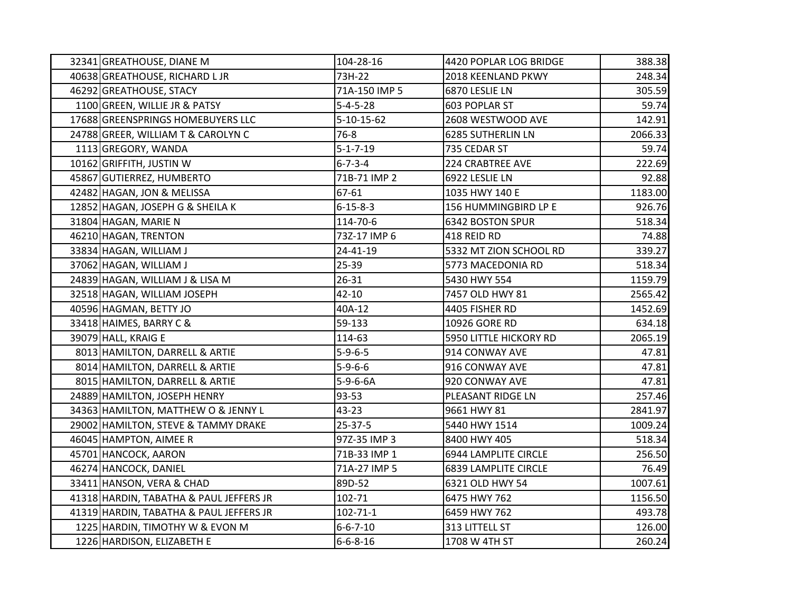| 32341 GREATHOUSE, DIANE M               | 104-28-16        | 4420 POPLAR LOG BRIDGE      | 388.38  |
|-----------------------------------------|------------------|-----------------------------|---------|
| 40638 GREATHOUSE, RICHARD L JR          | 73H-22           | 2018 KEENLAND PKWY          | 248.34  |
| 46292 GREATHOUSE, STACY                 | 71A-150 IMP 5    | 6870 LESLIE LN              | 305.59  |
| 1100 GREEN, WILLIE JR & PATSY           | $5 - 4 - 5 - 28$ | 603 POPLAR ST               | 59.74   |
| 17688 GREENSPRINGS HOMEBUYERS LLC       | 5-10-15-62       | 2608 WESTWOOD AVE           | 142.91  |
| 24788 GREER, WILLIAM T & CAROLYN C      | $76 - 8$         | 6285 SUTHERLIN LN           | 2066.33 |
| 1113 GREGORY, WANDA                     | $5 - 1 - 7 - 19$ | 735 CEDAR ST                | 59.74   |
| 10162 GRIFFITH, JUSTIN W                | $6 - 7 - 3 - 4$  | <b>224 CRABTREE AVE</b>     | 222.69  |
| 45867 GUTIERREZ, HUMBERTO               | 71B-71 IMP 2     | 6922 LESLIE LN              | 92.88   |
| 42482 HAGAN, JON & MELISSA              | 67-61            | 1035 HWY 140 E              | 1183.00 |
| 12852 HAGAN, JOSEPH G & SHEILA K        | $6 - 15 - 8 - 3$ | 156 HUMMINGBIRD LP E        | 926.76  |
| 31804 HAGAN, MARIE N                    | 114-70-6         | <b>6342 BOSTON SPUR</b>     | 518.34  |
| 46210 HAGAN, TRENTON                    | 73Z-17 IMP 6     | 418 REID RD                 | 74.88   |
| 33834 HAGAN, WILLIAM J                  | 24-41-19         | 5332 MT ZION SCHOOL RD      | 339.27  |
| 37062 HAGAN, WILLIAM J                  | 25-39            | 5773 MACEDONIA RD           | 518.34  |
| 24839 HAGAN, WILLIAM J & LISA M         | 26-31            | 5430 HWY 554                | 1159.79 |
| 32518 HAGAN, WILLIAM JOSEPH             | $42 - 10$        | 7457 OLD HWY 81             | 2565.42 |
| 40596 HAGMAN, BETTY JO                  | 40A-12           | 4405 FISHER RD              | 1452.69 |
| 33418 HAIMES, BARRY C &                 | 59-133           | 10926 GORE RD               | 634.18  |
| 39079 HALL, KRAIG E                     | 114-63           | 5950 LITTLE HICKORY RD      | 2065.19 |
| 8013 HAMILTON, DARRELL & ARTIE          | $5 - 9 - 6 - 5$  | 914 CONWAY AVE              | 47.81   |
| 8014 HAMILTON, DARRELL & ARTIE          | $5 - 9 - 6 - 6$  | 916 CONWAY AVE              | 47.81   |
| 8015 HAMILTON, DARRELL & ARTIE          | $5-9-6-6A$       | 920 CONWAY AVE              | 47.81   |
| 24889 HAMILTON, JOSEPH HENRY            | 93-53            | PLEASANT RIDGE LN           | 257.46  |
| 34363 HAMILTON, MATTHEW O & JENNY L     | 43-23            | 9661 HWY 81                 | 2841.97 |
| 29002 HAMILTON, STEVE & TAMMY DRAKE     | 25-37-5          | 5440 HWY 1514               | 1009.24 |
| 46045 HAMPTON, AIMEE R                  | 97Z-35 IMP 3     | 8400 HWY 405                | 518.34  |
| 45701 HANCOCK, AARON                    | 71B-33 IMP 1     | 6944 LAMPLITE CIRCLE        | 256.50  |
| 46274 HANCOCK, DANIEL                   | 71A-27 IMP 5     | <b>6839 LAMPLITE CIRCLE</b> | 76.49   |
| 33411 HANSON, VERA & CHAD               | 89D-52           | 6321 OLD HWY 54             | 1007.61 |
| 41318 HARDIN, TABATHA & PAUL JEFFERS JR | 102-71           | 6475 HWY 762                | 1156.50 |
| 41319 HARDIN, TABATHA & PAUL JEFFERS JR | $102 - 71 - 1$   | 6459 HWY 762                | 493.78  |
| 1225 HARDIN, TIMOTHY W & EVON M         | $6 - 6 - 7 - 10$ | 313 LITTELL ST              | 126.00  |
| 1226 HARDISON, ELIZABETH E              | $6 - 6 - 8 - 16$ | 1708 W 4TH ST               | 260.24  |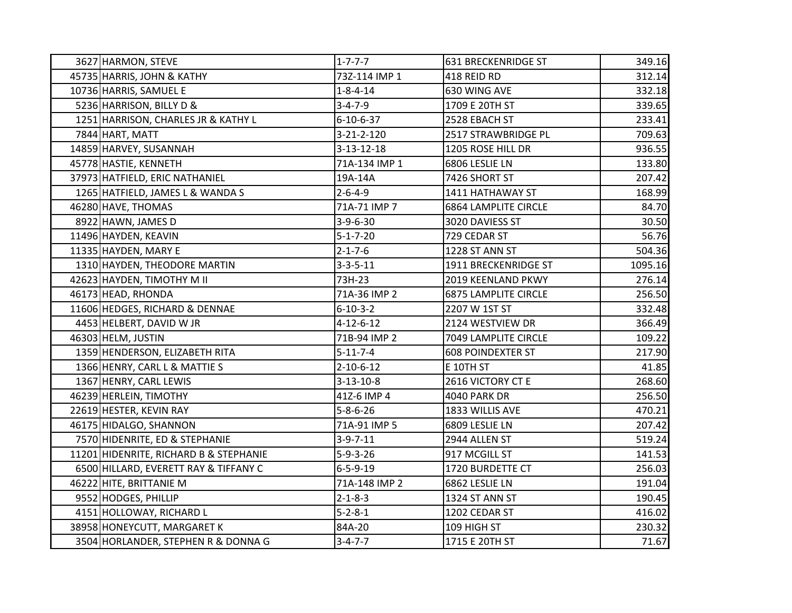| 3627 HARMON, STEVE                     | $1 - 7 - 7 - 7$    | <b>631 BRECKENRIDGE ST</b>  | 349.16  |
|----------------------------------------|--------------------|-----------------------------|---------|
| 45735 HARRIS, JOHN & KATHY             | 73Z-114 IMP 1      | 418 REID RD                 | 312.14  |
| 10736 HARRIS, SAMUEL E                 | $1 - 8 - 4 - 14$   | 630 WING AVE                | 332.18  |
| 5236 HARRISON, BILLY D &               | $3 - 4 - 7 - 9$    | 1709 E 20TH ST              | 339.65  |
| 1251 HARRISON, CHARLES JR & KATHY L    | $6 - 10 - 6 - 37$  | 2528 EBACH ST               | 233.41  |
| 7844 HART, MATT                        | $3 - 21 - 2 - 120$ | 2517 STRAWBRIDGE PL         | 709.63  |
| 14859 HARVEY, SUSANNAH                 | $3 - 13 - 12 - 18$ | 1205 ROSE HILL DR           | 936.55  |
| 45778 HASTIE, KENNETH                  | 71A-134 IMP 1      | 6806 LESLIE LN              | 133.80  |
| 37973 HATFIELD, ERIC NATHANIEL         | 19A-14A            | 7426 SHORT ST               | 207.42  |
| 1265 HATFIELD, JAMES L & WANDA S       | $2 - 6 - 4 - 9$    | 1411 HATHAWAY ST            | 168.99  |
| 46280 HAVE, THOMAS                     | 71A-71 IMP 7       | <b>6864 LAMPLITE CIRCLE</b> | 84.70   |
| 8922 HAWN, JAMES D                     | $3-9-6-30$         | 3020 DAVIESS ST             | 30.50   |
| 11496 HAYDEN, KEAVIN                   | $5 - 1 - 7 - 20$   | 729 CEDAR ST                | 56.76   |
| 11335 HAYDEN, MARY E                   | $2 - 1 - 7 - 6$    | 1228 ST ANN ST              | 504.36  |
| 1310 HAYDEN, THEODORE MARTIN           | $3 - 3 - 5 - 11$   | 1911 BRECKENRIDGE ST        | 1095.16 |
| 42623 HAYDEN, TIMOTHY M II             | 73H-23             | 2019 KEENLAND PKWY          | 276.14  |
| 46173 HEAD, RHONDA                     | 71A-36 IMP 2       | <b>6875 LAMPLITE CIRCLE</b> | 256.50  |
| 11606 HEDGES, RICHARD & DENNAE         | $6 - 10 - 3 - 2$   | 2207 W 1ST ST               | 332.48  |
| 4453 HELBERT, DAVID W JR               | $4 - 12 - 6 - 12$  | 2124 WESTVIEW DR            | 366.49  |
| 46303 HELM, JUSTIN                     | 71B-94 IMP 2       | 7049 LAMPLITE CIRCLE        | 109.22  |
| 1359 HENDERSON, ELIZABETH RITA         | $5 - 11 - 7 - 4$   | <b>608 POINDEXTER ST</b>    | 217.90  |
| 1366 HENRY, CARL L & MATTIE S          | $2 - 10 - 6 - 12$  | E 10TH ST                   | 41.85   |
| 1367 HENRY, CARL LEWIS                 | $3 - 13 - 10 - 8$  | 2616 VICTORY CT E           | 268.60  |
| 46239 HERLEIN, TIMOTHY                 | 41Z-6 IMP 4        | <b>4040 PARK DR</b>         | 256.50  |
| 22619 HESTER, KEVIN RAY                | $5 - 8 - 6 - 26$   | 1833 WILLIS AVE             | 470.21  |
| 46175 HIDALGO, SHANNON                 | 71A-91 IMP 5       | 6809 LESLIE LN              | 207.42  |
| 7570 HIDENRITE, ED & STEPHANIE         | $3-9-7-11$         | 2944 ALLEN ST               | 519.24  |
| 11201 HIDENRITE, RICHARD B & STEPHANIE | $5 - 9 - 3 - 26$   | 917 MCGILL ST               | 141.53  |
| 6500 HILLARD, EVERETT RAY & TIFFANY C  | $6 - 5 - 9 - 19$   | 1720 BURDETTE CT            | 256.03  |
| 46222 HITE, BRITTANIE M                | 71A-148 IMP 2      | 6862 LESLIE LN              | 191.04  |
| 9552 HODGES, PHILLIP                   | $2 - 1 - 8 - 3$    | 1324 ST ANN ST              | 190.45  |
| 4151 HOLLOWAY, RICHARD L               | $5 - 2 - 8 - 1$    | 1202 CEDAR ST               | 416.02  |
| 38958 HONEYCUTT, MARGARET K            | 84A-20             | 109 HIGH ST                 | 230.32  |
| 3504 HORLANDER, STEPHEN R & DONNA G    | $3 - 4 - 7 - 7$    | 1715 E 20TH ST              | 71.67   |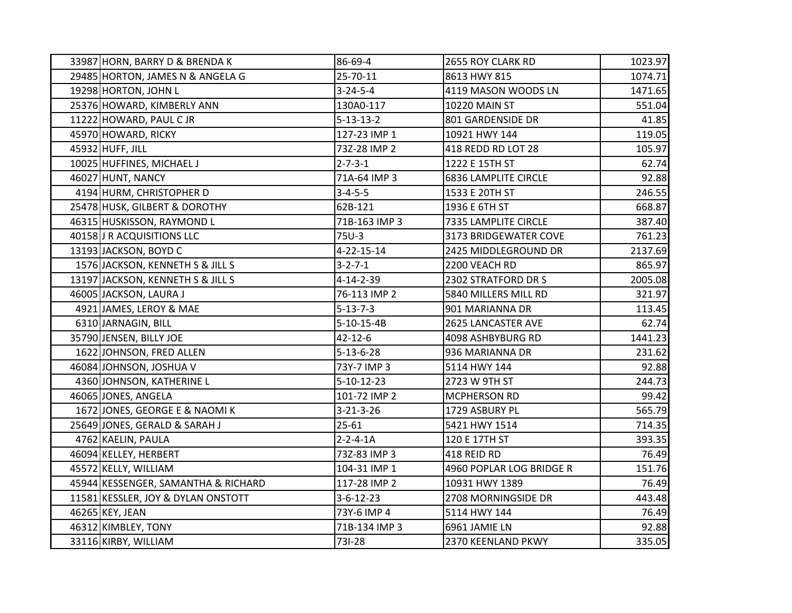| 33987 HORN, BARRY D & BRENDA K      | 86-69-4            | 2655 ROY CLARK RD           | 1023.97 |
|-------------------------------------|--------------------|-----------------------------|---------|
| 29485 HORTON, JAMES N & ANGELA G    | 25-70-11           | 8613 HWY 815                | 1074.71 |
| 19298 HORTON, JOHN L                | $3 - 24 - 5 - 4$   | 4119 MASON WOODS LN         | 1471.65 |
| 25376 HOWARD, KIMBERLY ANN          | 130A0-117          | 10220 MAIN ST               | 551.04  |
| 11222 HOWARD, PAUL CJR              | $5 - 13 - 13 - 2$  | 801 GARDENSIDE DR           | 41.85   |
| 45970 HOWARD, RICKY                 | 127-23 IMP 1       | 10921 HWY 144               | 119.05  |
| 45932 HUFF, JILL                    | 73Z-28 IMP 2       | 418 REDD RD LOT 28          | 105.97  |
| 10025 HUFFINES, MICHAEL J           | $2 - 7 - 3 - 1$    | 1222 E 15TH ST              | 62.74   |
| 46027 HUNT, NANCY                   | 71A-64 IMP 3       | <b>6836 LAMPLITE CIRCLE</b> | 92.88   |
| 4194 HURM, CHRISTOPHER D            | $3 - 4 - 5 - 5$    | 1533 E 20TH ST              | 246.55  |
| 25478 HUSK, GILBERT & DOROTHY       | 62B-121            | 1936 E 6TH ST               | 668.87  |
| 46315 HUSKISSON, RAYMOND L          | 71B-163 IMP 3      | 7335 LAMPLITE CIRCLE        | 387.40  |
| 40158 J R ACQUISITIONS LLC          | 75U-3              | 3173 BRIDGEWATER COVE       | 761.23  |
| 13193 JACKSON, BOYD C               | 4-22-15-14         | 2425 MIDDLEGROUND DR        | 2137.69 |
| 1576 JACKSON, KENNETH S & JILL S    | $3 - 2 - 7 - 1$    | 2200 VEACH RD               | 865.97  |
| 13197 JACKSON, KENNETH S & JILL S   | 4-14-2-39          | 2302 STRATFORD DR S         | 2005.08 |
| 46005 JACKSON, LAURA J              | 76-113 IMP 2       | 5840 MILLERS MILL RD        | 321.97  |
| 4921 JAMES, LEROY & MAE             | $5 - 13 - 7 - 3$   | 901 MARIANNA DR             | 113.45  |
| 6310 JARNAGIN, BILL                 | 5-10-15-4B         | 2625 LANCASTER AVE          | 62.74   |
| 35790 JENSEN, BILLY JOE             | 42-12-6            | 4098 ASHBYBURG RD           | 1441.23 |
| 1622 JOHNSON, FRED ALLEN            | $5 - 13 - 6 - 28$  | 936 MARIANNA DR             | 231.62  |
| 46084 JOHNSON, JOSHUA V             | 73Y-7 IMP 3        | 5114 HWY 144                | 92.88   |
| 4360 JOHNSON, KATHERINE L           | $5 - 10 - 12 - 23$ | 2723 W 9TH ST               | 244.73  |
| 46065 JONES, ANGELA                 | 101-72 IMP 2       | MCPHERSON RD                | 99.42   |
| 1672 JONES, GEORGE E & NAOMI K      | $3 - 21 - 3 - 26$  | 1729 ASBURY PL              | 565.79  |
| 25649 JONES, GERALD & SARAH J       | 25-61              | 5421 HWY 1514               | 714.35  |
| 4762 KAELIN, PAULA                  | $2 - 2 - 4 - 1A$   | 120 E 17TH ST               | 393.35  |
| 46094 KELLEY, HERBERT               | 73Z-83 IMP 3       | 418 REID RD                 | 76.49   |
| 45572 KELLY, WILLIAM                | 104-31 IMP 1       | 4960 POPLAR LOG BRIDGE R    | 151.76  |
| 45944 KESSENGER, SAMANTHA & RICHARD | 117-28 IMP 2       | 10931 HWY 1389              | 76.49   |
| 11581 KESSLER, JOY & DYLAN ONSTOTT  | $3 - 6 - 12 - 23$  | 2708 MORNINGSIDE DR         | 443.48  |
| 46265 KEY, JEAN                     | 73Y-6 IMP 4        | 5114 HWY 144                | 76.49   |
| 46312 KIMBLEY, TONY                 | 71B-134 IMP 3      | 6961 JAMIE LN               | 92.88   |
| 33116 KIRBY, WILLIAM                | 731-28             | 2370 KEENLAND PKWY          | 335.05  |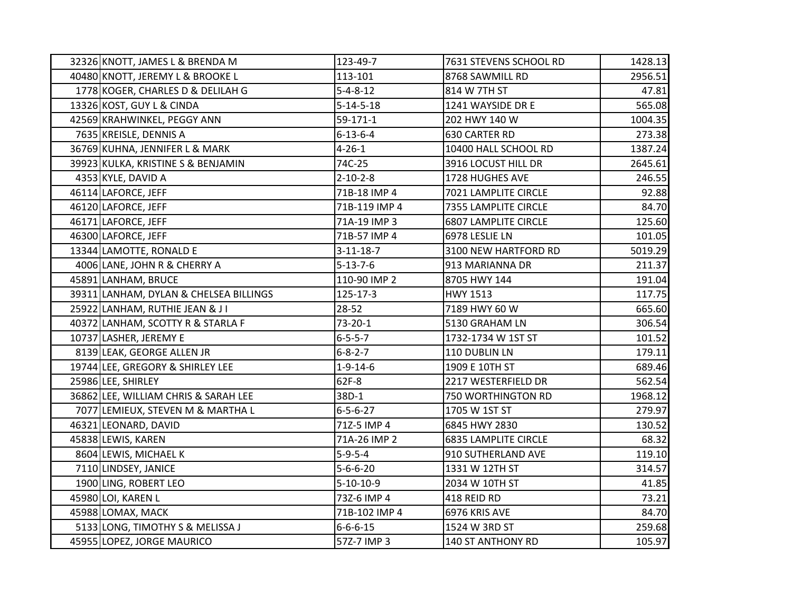| 32326 KNOTT, JAMES L & BRENDA M        | 123-49-7          | 7631 STEVENS SCHOOL RD      | 1428.13 |
|----------------------------------------|-------------------|-----------------------------|---------|
| 40480 KNOTT, JEREMY L & BROOKE L       | 113-101           | 8768 SAWMILL RD             | 2956.51 |
| 1778 KOGER, CHARLES D & DELILAH G      | $5 - 4 - 8 - 12$  | 814 W 7TH ST                | 47.81   |
| 13326 KOST, GUY L & CINDA              | $5 - 14 - 5 - 18$ | 1241 WAYSIDE DR E           | 565.08  |
| 42569 KRAHWINKEL, PEGGY ANN            | 59-171-1          | 202 HWY 140 W               | 1004.35 |
| 7635 KREISLE, DENNIS A                 | $6 - 13 - 6 - 4$  | 630 CARTER RD               | 273.38  |
| 36769 KUHNA, JENNIFER L & MARK         | $4 - 26 - 1$      | 10400 HALL SCHOOL RD        | 1387.24 |
| 39923 KULKA, KRISTINE S & BENJAMIN     | 74C-25            | 3916 LOCUST HILL DR         | 2645.61 |
| 4353 KYLE, DAVID A                     | $2 - 10 - 2 - 8$  | 1728 HUGHES AVE             | 246.55  |
| 46114 LAFORCE, JEFF                    | 71B-18 IMP 4      | 7021 LAMPLITE CIRCLE        | 92.88   |
| 46120 LAFORCE, JEFF                    | 71B-119 IMP 4     | 7355 LAMPLITE CIRCLE        | 84.70   |
| 46171 LAFORCE, JEFF                    | 71A-19 IMP 3      | <b>6807 LAMPLITE CIRCLE</b> | 125.60  |
| 46300 LAFORCE, JEFF                    | 71B-57 IMP 4      | 6978 LESLIE LN              | 101.05  |
| 13344 LAMOTTE, RONALD E                | $3 - 11 - 18 - 7$ | 3100 NEW HARTFORD RD        | 5019.29 |
| 4006 LANE, JOHN R & CHERRY A           | $5 - 13 - 7 - 6$  | 913 MARIANNA DR             | 211.37  |
| 45891 LANHAM, BRUCE                    | 110-90 IMP 2      | 8705 HWY 144                | 191.04  |
| 39311 LANHAM, DYLAN & CHELSEA BILLINGS | 125-17-3          | <b>HWY 1513</b>             | 117.75  |
| 25922 LANHAM, RUTHIE JEAN & JI         | 28-52             | 7189 HWY 60 W               | 665.60  |
| 40372 LANHAM, SCOTTY R & STARLA F      | $73 - 20 - 1$     | 5130 GRAHAM LN              | 306.54  |
| 10737 LASHER, JEREMY E                 | $6 - 5 - 5 - 7$   | 1732-1734 W 1ST ST          | 101.52  |
| 8139 LEAK, GEORGE ALLEN JR             | $6 - 8 - 2 - 7$   | 110 DUBLIN LN               | 179.11  |
| 19744 LEE, GREGORY & SHIRLEY LEE       | $1 - 9 - 14 - 6$  | 1909 E 10TH ST              | 689.46  |
| 25986 LEE, SHIRLEY                     | 62F-8             | 2217 WESTERFIELD DR         | 562.54  |
| 36862 LEE, WILLIAM CHRIS & SARAH LEE   | 38D-1             | 750 WORTHINGTON RD          | 1968.12 |
| 7077 LEMIEUX, STEVEN M & MARTHA L      | $6 - 5 - 6 - 27$  | 1705 W 1ST ST               | 279.97  |
| 46321 LEONARD, DAVID                   | 71Z-5 IMP 4       | 6845 HWY 2830               | 130.52  |
| 45838 LEWIS, KAREN                     | 71A-26 IMP 2      | <b>6835 LAMPLITE CIRCLE</b> | 68.32   |
| 8604 LEWIS, MICHAEL K                  | $5 - 9 - 5 - 4$   | 910 SUTHERLAND AVE          | 119.10  |
| 7110 LINDSEY, JANICE                   | $5 - 6 - 6 - 20$  | 1331 W 12TH ST              | 314.57  |
| 1900 LING, ROBERT LEO                  | $5-10-10-9$       | 2034 W 10TH ST              | 41.85   |
| 45980 LOI, KAREN L                     | 73Z-6 IMP 4       | 418 REID RD                 | 73.21   |
| 45988 LOMAX, MACK                      | 71B-102 IMP 4     | 6976 KRIS AVE               | 84.70   |
| 5133 LONG, TIMOTHY S & MELISSA J       | $6 - 6 - 6 - 15$  | 1524 W 3RD ST               | 259.68  |
| 45955 LOPEZ, JORGE MAURICO             | 572-7 IMP 3       | 140 ST ANTHONY RD           | 105.97  |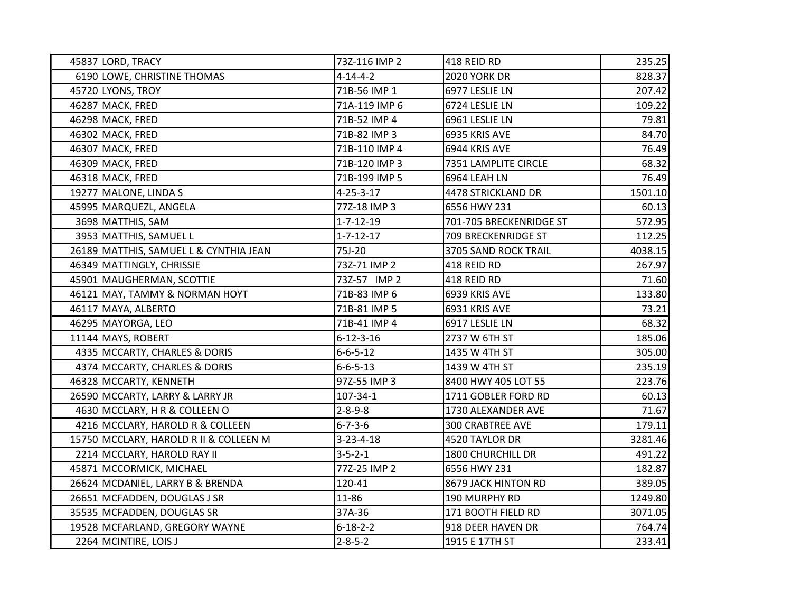| 45837 LORD, TRACY                      | 73Z-116 IMP 2     | 418 REID RD             | 235.25  |
|----------------------------------------|-------------------|-------------------------|---------|
| 6190 LOWE, CHRISTINE THOMAS            | $4 - 14 - 4 - 2$  | 2020 YORK DR            | 828.37  |
| 45720 LYONS, TROY                      | 71B-56 IMP 1      | 6977 LESLIE LN          | 207.42  |
| 46287 MACK, FRED                       | 71A-119 IMP 6     | 6724 LESLIE LN          | 109.22  |
| 46298 MACK, FRED                       | 71B-52 IMP 4      | 6961 LESLIE LN          | 79.81   |
| 46302 MACK, FRED                       | 71B-82 IMP 3      | 6935 KRIS AVE           | 84.70   |
| 46307 MACK, FRED                       | 71B-110 IMP 4     | 6944 KRIS AVE           | 76.49   |
| 46309 MACK, FRED                       | 71B-120 IMP 3     | 7351 LAMPLITE CIRCLE    | 68.32   |
| 46318 MACK, FRED                       | 71B-199 IMP 5     | 6964 LEAH LN            | 76.49   |
| 19277 MALONE, LINDA S                  | $4 - 25 - 3 - 17$ | 4478 STRICKLAND DR      | 1501.10 |
| 45995 MARQUEZL, ANGELA                 | 77Z-18 IMP 3      | 6556 HWY 231            | 60.13   |
| 3698 MATTHIS, SAM                      | $1 - 7 - 12 - 19$ | 701-705 BRECKENRIDGE ST | 572.95  |
| 3953 MATTHIS, SAMUEL L                 | $1 - 7 - 12 - 17$ | 709 BRECKENRIDGE ST     | 112.25  |
| 26189 MATTHIS, SAMUEL L & CYNTHIA JEAN | 75J-20            | 3705 SAND ROCK TRAIL    | 4038.15 |
| 46349 MATTINGLY, CHRISSIE              | 73Z-71 IMP 2      | 418 REID RD             | 267.97  |
| 45901 MAUGHERMAN, SCOTTIE              | 73Z-57 IMP 2      | 418 REID RD             | 71.60   |
| 46121 MAY, TAMMY & NORMAN HOYT         | 71B-83 IMP 6      | 6939 KRIS AVE           | 133.80  |
| 46117 MAYA, ALBERTO                    | 71B-81 IMP 5      | 6931 KRIS AVE           | 73.21   |
| 46295 MAYORGA, LEO                     | 71B-41 IMP 4      | 6917 LESLIE LN          | 68.32   |
| 11144 MAYS, ROBERT                     | $6 - 12 - 3 - 16$ | 2737 W 6TH ST           | 185.06  |
| 4335 MCCARTY, CHARLES & DORIS          | $6 - 6 - 5 - 12$  | 1435 W 4TH ST           | 305.00  |
| 4374 MCCARTY, CHARLES & DORIS          | $6 - 6 - 5 - 13$  | 1439 W 4TH ST           | 235.19  |
| 46328 MCCARTY, KENNETH                 | 97Z-55 IMP 3      | 8400 HWY 405 LOT 55     | 223.76  |
| 26590 MCCARTY, LARRY & LARRY JR        | 107-34-1          | 1711 GOBLER FORD RD     | 60.13   |
| 4630 MCCLARY, H R & COLLEEN O          | $2 - 8 - 9 - 8$   | 1730 ALEXANDER AVE      | 71.67   |
| 4216 MCCLARY, HAROLD R & COLLEEN       | $6 - 7 - 3 - 6$   | <b>300 CRABTREE AVE</b> | 179.11  |
| 15750 MCCLARY, HAROLD R II & COLLEEN M | $3 - 23 - 4 - 18$ | 4520 TAYLOR DR          | 3281.46 |
| 2214 MCCLARY, HAROLD RAY II            | $3 - 5 - 2 - 1$   | 1800 CHURCHILL DR       | 491.22  |
| 45871 MCCORMICK, MICHAEL               | 77Z-25 IMP 2      | 6556 HWY 231            | 182.87  |
| 26624 MCDANIEL, LARRY B & BRENDA       | 120-41            | 8679 JACK HINTON RD     | 389.05  |
| 26651 MCFADDEN, DOUGLAS J SR           | 11-86             | 190 MURPHY RD           | 1249.80 |
| 35535 MCFADDEN, DOUGLAS SR             | 37A-36            | 171 BOOTH FIELD RD      | 3071.05 |
| 19528 MCFARLAND, GREGORY WAYNE         | $6 - 18 - 2 - 2$  | 918 DEER HAVEN DR       | 764.74  |
| 2264 MCINTIRE, LOIS J                  | $2 - 8 - 5 - 2$   | 1915 E 17TH ST          | 233.41  |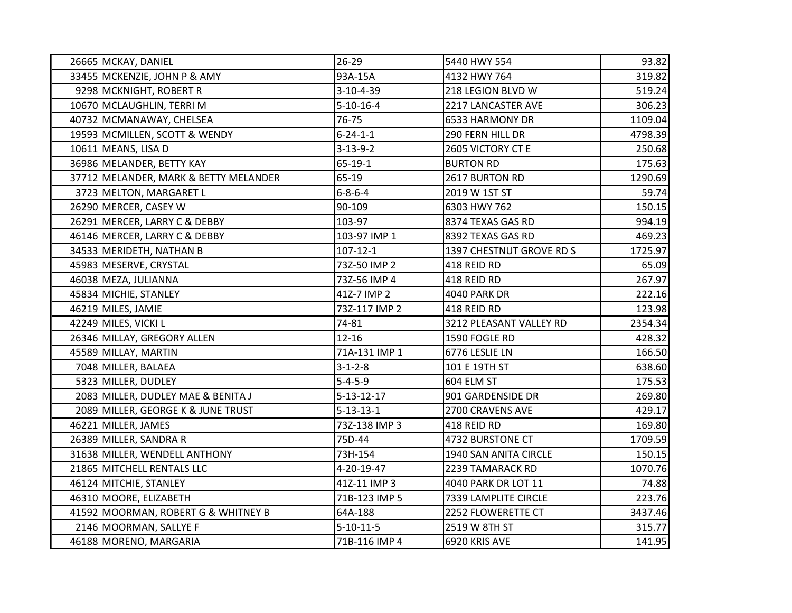| 26665 MCKAY, DANIEL                   | $26 - 29$          | 5440 HWY 554             | 93.82   |
|---------------------------------------|--------------------|--------------------------|---------|
| 33455 MCKENZIE, JOHN P & AMY          | 93A-15A            | 4132 HWY 764             | 319.82  |
| 9298 MCKNIGHT, ROBERT R               | $3 - 10 - 4 - 39$  | 218 LEGION BLVD W        | 519.24  |
| 10670 MCLAUGHLIN, TERRI M             | $5-10-16-4$        | 2217 LANCASTER AVE       | 306.23  |
| 40732 MCMANAWAY, CHELSEA              | 76-75              | 6533 HARMONY DR          | 1109.04 |
| 19593 MCMILLEN, SCOTT & WENDY         | $6 - 24 - 1 - 1$   | 290 FERN HILL DR         | 4798.39 |
| 10611 MEANS, LISA D                   | $3 - 13 - 9 - 2$   | 2605 VICTORY CT E        | 250.68  |
| 36986 MELANDER, BETTY KAY             | 65-19-1            | <b>BURTON RD</b>         | 175.63  |
| 37712 MELANDER, MARK & BETTY MELANDER | $65 - 19$          | 2617 BURTON RD           | 1290.69 |
| 3723 MELTON, MARGARET L               | $6 - 8 - 6 - 4$    | 2019 W 1ST ST            | 59.74   |
| 26290 MERCER, CASEY W                 | 90-109             | 6303 HWY 762             | 150.15  |
| 26291 MERCER, LARRY C & DEBBY         | 103-97             | 8374 TEXAS GAS RD        | 994.19  |
| 46146 MERCER, LARRY C & DEBBY         | 103-97 IMP 1       | 8392 TEXAS GAS RD        | 469.23  |
| 34533 MERIDETH, NATHAN B              | $107 - 12 - 1$     | 1397 CHESTNUT GROVE RD S | 1725.97 |
| 45983 MESERVE, CRYSTAL                | 73Z-50 IMP 2       | 418 REID RD              | 65.09   |
| 46038 MEZA, JULIANNA                  | 73Z-56 IMP 4       | 418 REID RD              | 267.97  |
| 45834 MICHIE, STANLEY                 | 41Z-7 IMP 2        | 4040 PARK DR             | 222.16  |
| 46219 MILES, JAMIE                    | 73Z-117 IMP 2      | 418 REID RD              | 123.98  |
| 42249 MILES, VICKI L                  | 74-81              | 3212 PLEASANT VALLEY RD  | 2354.34 |
| 26346 MILLAY, GREGORY ALLEN           | $12 - 16$          | 1590 FOGLE RD            | 428.32  |
| 45589 MILLAY, MARTIN                  | 71A-131 IMP 1      | 6776 LESLIE LN           | 166.50  |
| 7048 MILLER, BALAEA                   | $3 - 1 - 2 - 8$    | 101 E 19TH ST            | 638.60  |
| 5323 MILLER, DUDLEY                   | $5 - 4 - 5 - 9$    | 604 ELM ST               | 175.53  |
| 2083 MILLER, DUDLEY MAE & BENITA J    | $5 - 13 - 12 - 17$ | 901 GARDENSIDE DR        | 269.80  |
| 2089 MILLER, GEORGE K & JUNE TRUST    | $5 - 13 - 13 - 1$  | 2700 CRAVENS AVE         | 429.17  |
| 46221 MILLER, JAMES                   | 73Z-138 IMP 3      | 418 REID RD              | 169.80  |
| 26389 MILLER, SANDRA R                | 75D-44             | 4732 BURSTONE CT         | 1709.59 |
| 31638 MILLER, WENDELL ANTHONY         | 73H-154            | 1940 SAN ANITA CIRCLE    | 150.15  |
| 21865 MITCHELL RENTALS LLC            | 4-20-19-47         | 2239 TAMARACK RD         | 1070.76 |
| 46124 MITCHIE, STANLEY                | 41Z-11 IMP 3       | 4040 PARK DR LOT 11      | 74.88   |
| 46310 MOORE, ELIZABETH                | 71B-123 IMP 5      | 7339 LAMPLITE CIRCLE     | 223.76  |
| 41592 MOORMAN, ROBERT G & WHITNEY B   | 64A-188            | 2252 FLOWERETTE CT       | 3437.46 |
| 2146 MOORMAN, SALLYE F                | $5-10-11-5$        | 2519 W 8TH ST            | 315.77  |
| 46188 MORENO, MARGARIA                | 71B-116 IMP 4      | 6920 KRIS AVE            | 141.95  |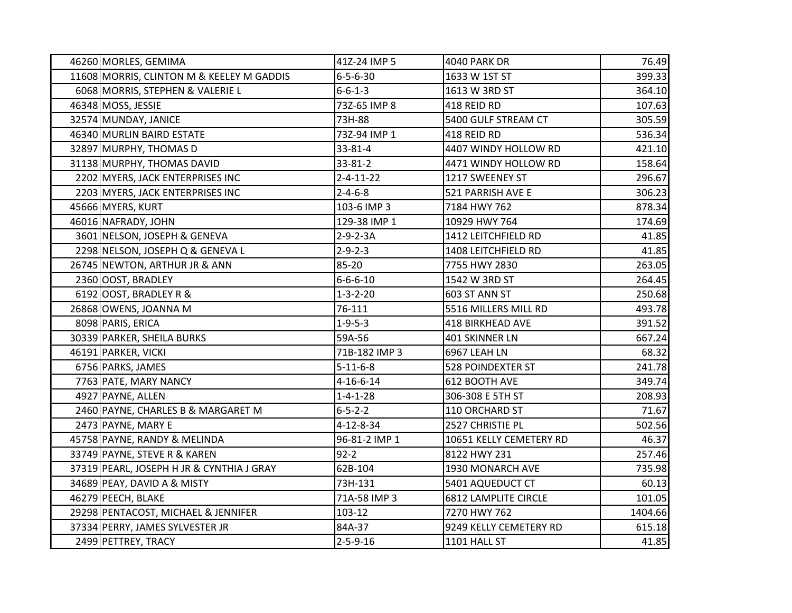| 46260 MORLES, GEMIMA                      | 41Z-24 IMP 5      | <b>4040 PARK DR</b>         | 76.49   |
|-------------------------------------------|-------------------|-----------------------------|---------|
| 11608 MORRIS, CLINTON M & KEELEY M GADDIS | $6 - 5 - 6 - 30$  | 1633 W 1ST ST               | 399.33  |
| 6068 MORRIS, STEPHEN & VALERIE L          | $6 - 6 - 1 - 3$   | 1613 W 3RD ST               | 364.10  |
| 46348 MOSS, JESSIE                        | 73Z-65 IMP 8      | 418 REID RD                 | 107.63  |
| 32574 MUNDAY, JANICE                      | 73H-88            | 5400 GULF STREAM CT         | 305.59  |
| 46340 MURLIN BAIRD ESTATE                 | 73Z-94 IMP 1      | 418 REID RD                 | 536.34  |
| 32897 MURPHY, THOMAS D                    | 33-81-4           | 4407 WINDY HOLLOW RD        | 421.10  |
| 31138 MURPHY, THOMAS DAVID                | 33-81-2           | 4471 WINDY HOLLOW RD        | 158.64  |
| 2202 MYERS, JACK ENTERPRISES INC          | $2 - 4 - 11 - 22$ | 1217 SWEENEY ST             | 296.67  |
| 2203 MYERS, JACK ENTERPRISES INC          | $2 - 4 - 6 - 8$   | 521 PARRISH AVE E           | 306.23  |
| 45666 MYERS, KURT                         | 103-6 IMP 3       | 7184 HWY 762                | 878.34  |
| 46016 NAFRADY, JOHN                       | 129-38 IMP 1      | 10929 HWY 764               | 174.69  |
| 3601 NELSON, JOSEPH & GENEVA              | $2 - 9 - 2 - 3A$  | 1412 LEITCHFIELD RD         | 41.85   |
| 2298 NELSON, JOSEPH Q & GENEVA L          | $2 - 9 - 2 - 3$   | 1408 LEITCHFIELD RD         | 41.85   |
| 26745 NEWTON, ARTHUR JR & ANN             | 85-20             | 7755 HWY 2830               | 263.05  |
| 2360 OOST, BRADLEY                        | $6 - 6 - 6 - 10$  | 1542 W 3RD ST               | 264.45  |
| 6192 OOST, BRADLEY R &                    | $1 - 3 - 2 - 20$  | 603 ST ANN ST               | 250.68  |
| 26868 OWENS, JOANNA M                     | 76-111            | 5516 MILLERS MILL RD        | 493.78  |
| 8098 PARIS, ERICA                         | $1 - 9 - 5 - 3$   | <b>418 BIRKHEAD AVE</b>     | 391.52  |
| 30339 PARKER, SHEILA BURKS                | 59A-56            | 401 SKINNER LN              | 667.24  |
| 46191 PARKER, VICKI                       | 71B-182 IMP 3     | 6967 LEAH LN                | 68.32   |
| 6756 PARKS, JAMES                         | $5 - 11 - 6 - 8$  | <b>528 POINDEXTER ST</b>    | 241.78  |
| 7763 PATE, MARY NANCY                     | $4 - 16 - 6 - 14$ | 612 BOOTH AVE               | 349.74  |
| 4927 PAYNE, ALLEN                         | $1 - 4 - 1 - 28$  | 306-308 E 5TH ST            | 208.93  |
| 2460 PAYNE, CHARLES B & MARGARET M        | $6 - 5 - 2 - 2$   | 110 ORCHARD ST              | 71.67   |
| 2473 PAYNE, MARY E                        | 4-12-8-34         | 2527 CHRISTIE PL            | 502.56  |
| 45758 PAYNE, RANDY & MELINDA              | 96-81-2 IMP 1     | 10651 KELLY CEMETERY RD     | 46.37   |
| 33749 PAYNE, STEVE R & KAREN              | $92 - 2$          | 8122 HWY 231                | 257.46  |
| 37319 PEARL, JOSEPH H JR & CYNTHIA J GRAY | 62B-104           | 1930 MONARCH AVE            | 735.98  |
| 34689 PEAY, DAVID A & MISTY               | 73H-131           | 5401 AQUEDUCT CT            | 60.13   |
| 46279 PEECH, BLAKE                        | 71A-58 IMP 3      | <b>6812 LAMPLITE CIRCLE</b> | 101.05  |
| 29298 PENTACOST, MICHAEL & JENNIFER       | 103-12            | 7270 HWY 762                | 1404.66 |
| 37334 PERRY, JAMES SYLVESTER JR           | 84A-37            | 9249 KELLY CEMETERY RD      | 615.18  |
| 2499 PETTREY, TRACY                       | $2 - 5 - 9 - 16$  | 1101 HALL ST                | 41.85   |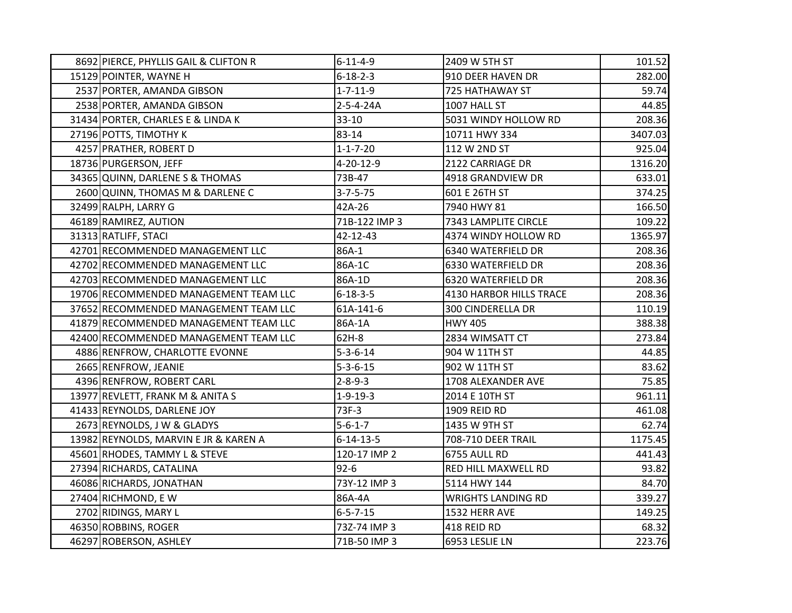| 8692 PIERCE, PHYLLIS GAIL & CLIFTON R | $6 - 11 - 4 - 9$  | 2409 W 5TH ST             | 101.52  |
|---------------------------------------|-------------------|---------------------------|---------|
| 15129 POINTER, WAYNE H                | $6 - 18 - 2 - 3$  | 910 DEER HAVEN DR         | 282.00  |
| 2537 PORTER, AMANDA GIBSON            | $1 - 7 - 11 - 9$  | 725 HATHAWAY ST           | 59.74   |
| 2538 PORTER, AMANDA GIBSON            | 2-5-4-24A         | 1007 HALL ST              | 44.85   |
| 31434 PORTER, CHARLES E & LINDA K     | $33-10$           | 5031 WINDY HOLLOW RD      | 208.36  |
| 27196 POTTS, TIMOTHY K                | 83-14             | 10711 HWY 334             | 3407.03 |
| 4257 PRATHER, ROBERT D                | $1 - 1 - 7 - 20$  | 112 W 2ND ST              | 925.04  |
| 18736 PURGERSON, JEFF                 | 4-20-12-9         | 2122 CARRIAGE DR          | 1316.20 |
| 34365 QUINN, DARLENE S & THOMAS       | 73B-47            | 4918 GRANDVIEW DR         | 633.01  |
| 2600 QUINN, THOMAS M & DARLENE C      | $3 - 7 - 5 - 75$  | 601 E 26TH ST             | 374.25  |
| 32499 RALPH, LARRY G                  | 42A-26            | 7940 HWY 81               | 166.50  |
| 46189 RAMIREZ, AUTION                 | 71B-122 IMP 3     | 7343 LAMPLITE CIRCLE      | 109.22  |
| 31313 RATLIFF, STACI                  | 42-12-43          | 4374 WINDY HOLLOW RD      | 1365.97 |
| 42701 RECOMMENDED MANAGEMENT LLC      | 86A-1             | 6340 WATERFIELD DR        | 208.36  |
| 42702 RECOMMENDED MANAGEMENT LLC      | 86A-1C            | 6330 WATERFIELD DR        | 208.36  |
| 42703 RECOMMENDED MANAGEMENT LLC      | 86A-1D            | 6320 WATERFIELD DR        | 208.36  |
| 19706 RECOMMENDED MANAGEMENT TEAM LLC | $6 - 18 - 3 - 5$  | 4130 HARBOR HILLS TRACE   | 208.36  |
| 37652 RECOMMENDED MANAGEMENT TEAM LLC | 61A-141-6         | 300 CINDERELLA DR         | 110.19  |
| 41879 RECOMMENDED MANAGEMENT TEAM LLC | 86A-1A            | <b>HWY 405</b>            | 388.38  |
| 42400 RECOMMENDED MANAGEMENT TEAM LLC | 62H-8             | 2834 WIMSATT CT           | 273.84  |
| 4886 RENFROW, CHARLOTTE EVONNE        | $5 - 3 - 6 - 14$  | 904 W 11TH ST             | 44.85   |
| 2665 RENFROW, JEANIE                  | $5 - 3 - 6 - 15$  | 902 W 11TH ST             | 83.62   |
| 4396 RENFROW, ROBERT CARL             | $2 - 8 - 9 - 3$   | 1708 ALEXANDER AVE        | 75.85   |
| 13977 REVLETT, FRANK M & ANITA S      | $1-9-19-3$        | 2014 E 10TH ST            | 961.11  |
| 41433 REYNOLDS, DARLENE JOY           | 73F-3             | 1909 REID RD              | 461.08  |
| 2673 REYNOLDS, J W & GLADYS           | $5 - 6 - 1 - 7$   | 1435 W 9TH ST             | 62.74   |
| 13982 REYNOLDS, MARVIN E JR & KAREN A | $6 - 14 - 13 - 5$ | 708-710 DEER TRAIL        | 1175.45 |
| 45601 RHODES, TAMMY L & STEVE         | 120-17 IMP 2      | 6755 AULL RD              | 441.43  |
| 27394 RICHARDS, CATALINA              | $92 - 6$          | RED HILL MAXWELL RD       | 93.82   |
| 46086 RICHARDS, JONATHAN              | 73Y-12 IMP 3      | 5114 HWY 144              | 84.70   |
| 27404 RICHMOND, EW                    | 86A-4A            | <b>WRIGHTS LANDING RD</b> | 339.27  |
| 2702 RIDINGS, MARY L                  | $6 - 5 - 7 - 15$  | 1532 HERR AVE             | 149.25  |
| 46350 ROBBINS, ROGER                  | 73Z-74 IMP 3      | 418 REID RD               | 68.32   |
| 46297 ROBERSON, ASHLEY                | 71B-50 IMP 3      | 6953 LESLIE LN            | 223.76  |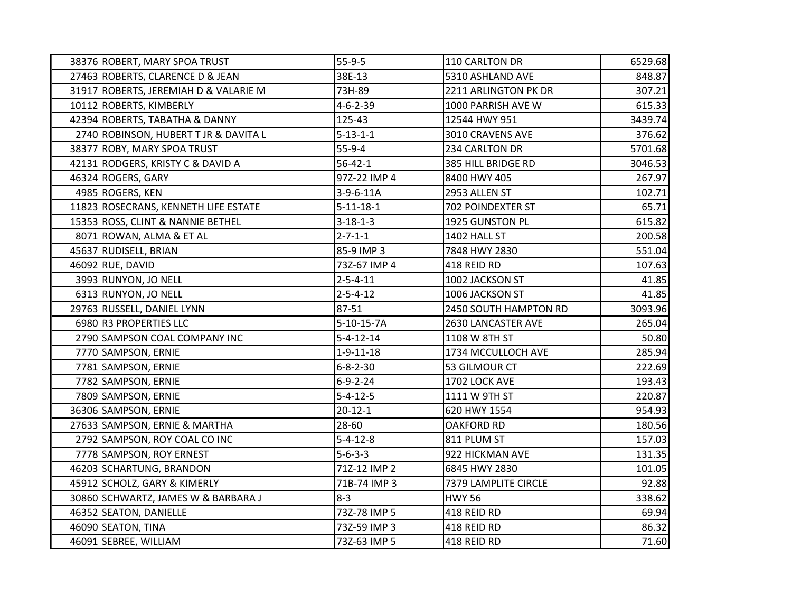| 38376 ROBERT, MARY SPOA TRUST         | $55-9-5$          | 110 CARLTON DR        | 6529.68 |
|---------------------------------------|-------------------|-----------------------|---------|
| 27463 ROBERTS, CLARENCE D & JEAN      | 38E-13            | 5310 ASHLAND AVE      | 848.87  |
| 31917 ROBERTS, JEREMIAH D & VALARIE M | 73H-89            | 2211 ARLINGTON PK DR  | 307.21  |
| 10112 ROBERTS, KIMBERLY               | $4 - 6 - 2 - 39$  | 1000 PARRISH AVE W    | 615.33  |
| 42394 ROBERTS, TABATHA & DANNY        | 125-43            | 12544 HWY 951         | 3439.74 |
| 2740 ROBINSON, HUBERT T JR & DAVITA L | $5 - 13 - 1 - 1$  | 3010 CRAVENS AVE      | 376.62  |
| 38377 ROBY, MARY SPOA TRUST           | $55-9-4$          | 234 CARLTON DR        | 5701.68 |
| 42131 RODGERS, KRISTY C & DAVID A     | $56 - 42 - 1$     | 385 HILL BRIDGE RD    | 3046.53 |
| 46324 ROGERS, GARY                    | 97Z-22 IMP 4      | 8400 HWY 405          | 267.97  |
| 4985 ROGERS, KEN                      | 3-9-6-11A         | 2953 ALLEN ST         | 102.71  |
| 11823 ROSECRANS, KENNETH LIFE ESTATE  | $5 - 11 - 18 - 1$ | 702 POINDEXTER ST     | 65.71   |
| 15353 ROSS, CLINT & NANNIE BETHEL     | $3 - 18 - 1 - 3$  | 1925 GUNSTON PL       | 615.82  |
| 8071 ROWAN, ALMA & ET AL              | $2 - 7 - 1 - 1$   | 1402 HALL ST          | 200.58  |
| 45637 RUDISELL, BRIAN                 | 85-9 IMP 3        | 7848 HWY 2830         | 551.04  |
| 46092 RUE, DAVID                      | 73Z-67 IMP 4      | 418 REID RD           | 107.63  |
| 3993 RUNYON, JO NELL                  | $2 - 5 - 4 - 11$  | 1002 JACKSON ST       | 41.85   |
| 6313 RUNYON, JO NELL                  | $2 - 5 - 4 - 12$  | 1006 JACKSON ST       | 41.85   |
| 29763 RUSSELL, DANIEL LYNN            | 87-51             | 2450 SOUTH HAMPTON RD | 3093.96 |
| 6980 R3 PROPERTIES LLC                | 5-10-15-7A        | 2630 LANCASTER AVE    | 265.04  |
| 2790 SAMPSON COAL COMPANY INC         | $5 - 4 - 12 - 14$ | 1108 W 8TH ST         | 50.80   |
| 7770 SAMPSON, ERNIE                   | $1 - 9 - 11 - 18$ | 1734 MCCULLOCH AVE    | 285.94  |
| 7781 SAMPSON, ERNIE                   | $6 - 8 - 2 - 30$  | 53 GILMOUR CT         | 222.69  |
| 7782 SAMPSON, ERNIE                   | $6 - 9 - 2 - 24$  | 1702 LOCK AVE         | 193.43  |
| 7809 SAMPSON, ERNIE                   | $5 - 4 - 12 - 5$  | 1111 W 9TH ST         | 220.87  |
| 36306 SAMPSON, ERNIE                  | $20 - 12 - 1$     | 620 HWY 1554          | 954.93  |
| 27633 SAMPSON, ERNIE & MARTHA         | 28-60             | <b>OAKFORD RD</b>     | 180.56  |
| 2792 SAMPSON, ROY COAL CO INC         | $5 - 4 - 12 - 8$  | 811 PLUM ST           | 157.03  |
| 7778 SAMPSON, ROY ERNEST              | $5 - 6 - 3 - 3$   | 922 HICKMAN AVE       | 131.35  |
| 46203 SCHARTUNG, BRANDON              | 71Z-12 IMP 2      | 6845 HWY 2830         | 101.05  |
| 45912 SCHOLZ, GARY & KIMERLY          | 71B-74 IMP 3      | 7379 LAMPLITE CIRCLE  | 92.88   |
| 30860 SCHWARTZ, JAMES W & BARBARA J   | $8 - 3$           | <b>HWY 56</b>         | 338.62  |
| 46352 SEATON, DANIELLE                | 73Z-78 IMP 5      | 418 REID RD           | 69.94   |
| 46090 SEATON, TINA                    | 73Z-59 IMP 3      | 418 REID RD           | 86.32   |
| 46091 SEBREE, WILLIAM                 | 73Z-63 IMP 5      | 418 REID RD           | 71.60   |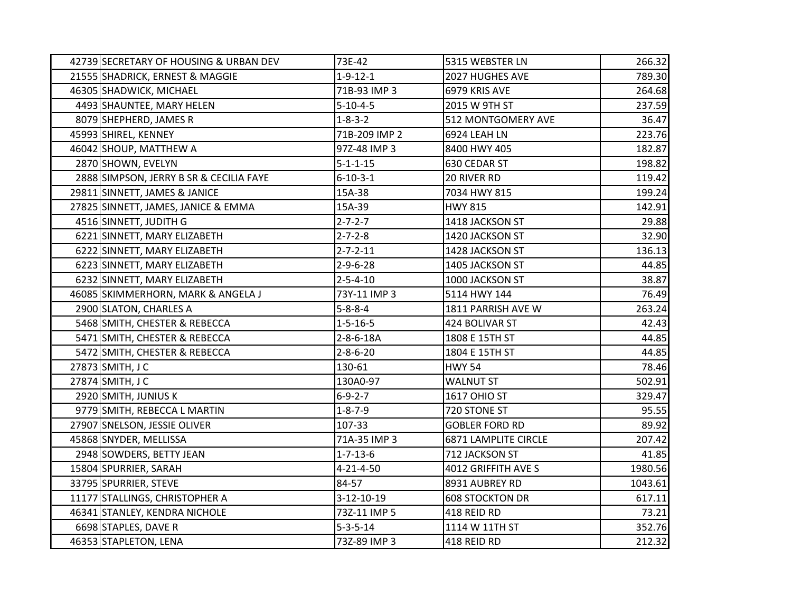| 42739 SECRETARY OF HOUSING & URBAN DEV  | 73E-42            | 5315 WEBSTER LN        | 266.32  |
|-----------------------------------------|-------------------|------------------------|---------|
| 21555 SHADRICK, ERNEST & MAGGIE         | $1 - 9 - 12 - 1$  | 2027 HUGHES AVE        | 789.30  |
| 46305 SHADWICK, MICHAEL                 | 71B-93 IMP 3      | 6979 KRIS AVE          | 264.68  |
| 4493 SHAUNTEE, MARY HELEN               | $5 - 10 - 4 - 5$  | 2015 W 9TH ST          | 237.59  |
| 8079 SHEPHERD, JAMES R                  | $1 - 8 - 3 - 2$   | 512 MONTGOMERY AVE     | 36.47   |
| 45993 SHIREL, KENNEY                    | 71B-209 IMP 2     | 6924 LEAH LN           | 223.76  |
| 46042 SHOUP, MATTHEW A                  | 97Z-48 IMP 3      | 8400 HWY 405           | 182.87  |
| 2870 SHOWN, EVELYN                      | $5 - 1 - 1 - 15$  | 630 CEDAR ST           | 198.82  |
| 2888 SIMPSON, JERRY B SR & CECILIA FAYE | $6 - 10 - 3 - 1$  | 20 RIVER RD            | 119.42  |
| 29811 SINNETT, JAMES & JANICE           | 15A-38            | 7034 HWY 815           | 199.24  |
| 27825 SINNETT, JAMES, JANICE & EMMA     | 15A-39            | <b>HWY 815</b>         | 142.91  |
| 4516 SINNETT, JUDITH G                  | $2 - 7 - 2 - 7$   | 1418 JACKSON ST        | 29.88   |
| 6221 SINNETT, MARY ELIZABETH            | $2 - 7 - 2 - 8$   | 1420 JACKSON ST        | 32.90   |
| 6222 SINNETT, MARY ELIZABETH            | $2 - 7 - 2 - 11$  | 1428 JACKSON ST        | 136.13  |
| 6223 SINNETT, MARY ELIZABETH            | $2 - 9 - 6 - 28$  | 1405 JACKSON ST        | 44.85   |
| 6232 SINNETT, MARY ELIZABETH            | $2 - 5 - 4 - 10$  | 1000 JACKSON ST        | 38.87   |
| 46085 SKIMMERHORN, MARK & ANGELA J      | 73Y-11 IMP 3      | 5114 HWY 144           | 76.49   |
| 2900 SLATON, CHARLES A                  | $5 - 8 - 8 - 4$   | 1811 PARRISH AVE W     | 263.24  |
| 5468 SMITH, CHESTER & REBECCA           | $1 - 5 - 16 - 5$  | 424 BOLIVAR ST         | 42.43   |
| 5471 SMITH, CHESTER & REBECCA           | $2 - 8 - 6 - 18A$ | 1808 E 15TH ST         | 44.85   |
| 5472 SMITH, CHESTER & REBECCA           | $2 - 8 - 6 - 20$  | 1804 E 15TH ST         | 44.85   |
| 27873 SMITH, J C                        | 130-61            | <b>HWY 54</b>          | 78.46   |
| 27874 SMITH, J C                        | 130A0-97          | <b>WALNUT ST</b>       | 502.91  |
| 2920 SMITH, JUNIUS K                    | $6 - 9 - 2 - 7$   | <b>1617 OHIO ST</b>    | 329.47  |
| 9779 SMITH, REBECCA L MARTIN            | $1 - 8 - 7 - 9$   | 720 STONE ST           | 95.55   |
| 27907 SNELSON, JESSIE OLIVER            | 107-33            | <b>GOBLER FORD RD</b>  | 89.92   |
| 45868 SNYDER, MELLISSA                  | 71A-35 IMP 3      | 6871 LAMPLITE CIRCLE   | 207.42  |
| 2948 SOWDERS, BETTY JEAN                | $1 - 7 - 13 - 6$  | 712 JACKSON ST         | 41.85   |
| 15804 SPURRIER, SARAH                   | $4 - 21 - 4 - 50$ | 4012 GRIFFITH AVE S    | 1980.56 |
| 33795 SPURRIER, STEVE                   | 84-57             | 8931 AUBREY RD         | 1043.61 |
| 11177 STALLINGS, CHRISTOPHER A          | 3-12-10-19        | <b>608 STOCKTON DR</b> | 617.11  |
| 46341 STANLEY, KENDRA NICHOLE           | 73Z-11 IMP 5      | 418 REID RD            | 73.21   |
| 6698 STAPLES, DAVE R                    | $5 - 3 - 5 - 14$  | 1114 W 11TH ST         | 352.76  |
| 46353 STAPLETON, LENA                   | 73Z-89 IMP 3      | 418 REID RD            | 212.32  |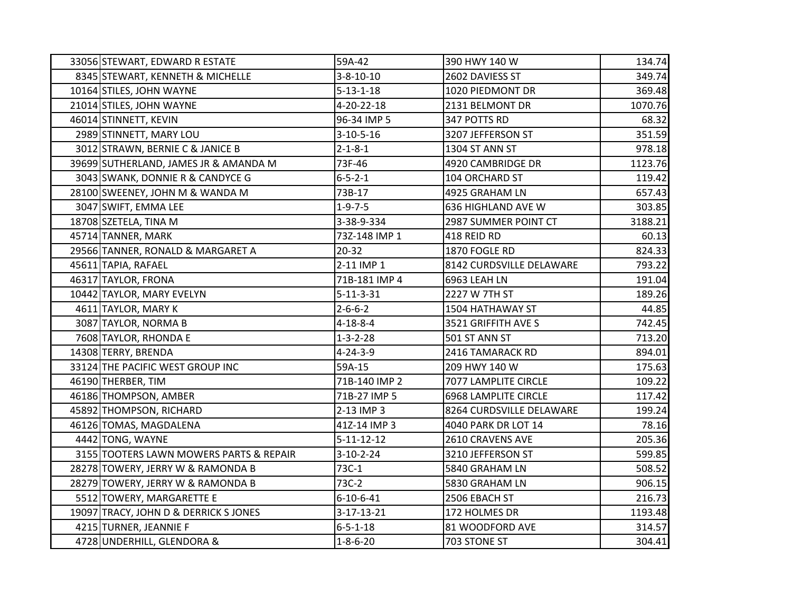| 33056 STEWART, EDWARD R ESTATE          | 59A-42             | 390 HWY 140 W               | 134.74  |
|-----------------------------------------|--------------------|-----------------------------|---------|
| 8345 STEWART, KENNETH & MICHELLE        | $3 - 8 - 10 - 10$  | 2602 DAVIESS ST             | 349.74  |
| 10164 STILES, JOHN WAYNE                | $5 - 13 - 1 - 18$  | 1020 PIEDMONT DR            | 369.48  |
| 21014 STILES, JOHN WAYNE                | 4-20-22-18         | 2131 BELMONT DR             | 1070.76 |
| 46014 STINNETT, KEVIN                   | 96-34 IMP 5        | 347 POTTS RD                | 68.32   |
| 2989 STINNETT, MARY LOU                 | $3-10-5-16$        | 3207 JEFFERSON ST           | 351.59  |
| 3012 STRAWN, BERNIE C & JANICE B        | $2 - 1 - 8 - 1$    | 1304 ST ANN ST              | 978.18  |
| 39699 SUTHERLAND, JAMES JR & AMANDA M   | 73F-46             | 4920 CAMBRIDGE DR           | 1123.76 |
| 3043 SWANK, DONNIE R & CANDYCE G        | $6 - 5 - 2 - 1$    | 104 ORCHARD ST              | 119.42  |
| 28100 SWEENEY, JOHN M & WANDA M         | 73B-17             | 4925 GRAHAM LN              | 657.43  |
| 3047 SWIFT, EMMA LEE                    | $1 - 9 - 7 - 5$    | 636 HIGHLAND AVE W          | 303.85  |
| 18708 SZETELA, TINA M                   | 3-38-9-334         | 2987 SUMMER POINT CT        | 3188.21 |
| 45714 TANNER, MARK                      | 73Z-148 IMP 1      | 418 REID RD                 | 60.13   |
| 29566 TANNER, RONALD & MARGARET A       | 20-32              | 1870 FOGLE RD               | 824.33  |
| 45611 TAPIA, RAFAEL                     | 2-11 IMP 1         | 8142 CURDSVILLE DELAWARE    | 793.22  |
| 46317 TAYLOR, FRONA                     | 71B-181 IMP 4      | 6963 LEAH LN                | 191.04  |
| 10442 TAYLOR, MARY EVELYN               | $5 - 11 - 3 - 31$  | 2227 W 7TH ST               | 189.26  |
| 4611 TAYLOR, MARY K                     | $2 - 6 - 6 - 2$    | 1504 HATHAWAY ST            | 44.85   |
| 3087 TAYLOR, NORMA B                    | $4 - 18 - 8 - 4$   | 3521 GRIFFITH AVE S         | 742.45  |
| 7608 TAYLOR, RHONDA E                   | $1 - 3 - 2 - 28$   | 501 ST ANN ST               | 713.20  |
| 14308 TERRY, BRENDA                     | $4 - 24 - 3 - 9$   | 2416 TAMARACK RD            | 894.01  |
| 33124 THE PACIFIC WEST GROUP INC        | 59A-15             | 209 HWY 140 W               | 175.63  |
| 46190 THERBER, TIM                      | 71B-140 IMP 2      | 7077 LAMPLITE CIRCLE        | 109.22  |
| 46186 THOMPSON, AMBER                   | 71B-27 IMP 5       | <b>6968 LAMPLITE CIRCLE</b> | 117.42  |
| 45892 THOMPSON, RICHARD                 | 2-13 IMP 3         | 8264 CURDSVILLE DELAWARE    | 199.24  |
| 46126 TOMAS, MAGDALENA                  | 41Z-14 IMP 3       | 4040 PARK DR LOT 14         | 78.16   |
| 4442 TONG, WAYNE                        | $5 - 11 - 12 - 12$ | 2610 CRAVENS AVE            | 205.36  |
| 3155 TOOTERS LAWN MOWERS PARTS & REPAIR | $3-10-2-24$        | 3210 JEFFERSON ST           | 599.85  |
| 28278 TOWERY, JERRY W & RAMONDA B       | 73C-1              | 5840 GRAHAM LN              | 508.52  |
| 28279 TOWERY, JERRY W & RAMONDA B       | 73C-2              | 5830 GRAHAM LN              | 906.15  |
| 5512 TOWERY, MARGARETTE E               | $6 - 10 - 6 - 41$  | 2506 EBACH ST               | 216.73  |
| 19097 TRACY, JOHN D & DERRICK S JONES   | $3 - 17 - 13 - 21$ | 172 HOLMES DR               | 1193.48 |
| 4215 TURNER, JEANNIE F                  | $6 - 5 - 1 - 18$   | 81 WOODFORD AVE             | 314.57  |
| 4728 UNDERHILL, GLENDORA &              | $1 - 8 - 6 - 20$   | 703 STONE ST                | 304.41  |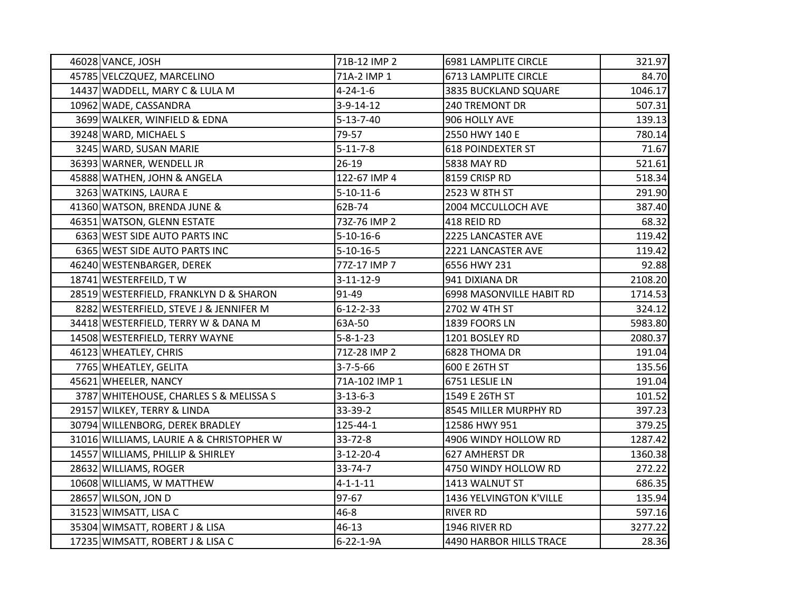| 46028 VANCE, JOSH                        | 71B-12 IMP 2      | 6981 LAMPLITE CIRCLE        | 321.97  |
|------------------------------------------|-------------------|-----------------------------|---------|
| 45785 VELCZQUEZ, MARCELINO               | 71A-2 IMP 1       | <b>6713 LAMPLITE CIRCLE</b> | 84.70   |
| 14437 WADDELL, MARY C & LULA M           | $4 - 24 - 1 - 6$  | 3835 BUCKLAND SQUARE        | 1046.17 |
| 10962 WADE, CASSANDRA                    | $3-9-14-12$       | 240 TREMONT DR              | 507.31  |
| 3699 WALKER, WINFIELD & EDNA             | $5 - 13 - 7 - 40$ | 906 HOLLY AVE               | 139.13  |
| 39248 WARD, MICHAEL S                    | 79-57             | 2550 HWY 140 E              | 780.14  |
| 3245 WARD, SUSAN MARIE                   | $5 - 11 - 7 - 8$  | <b>618 POINDEXTER ST</b>    | 71.67   |
| 36393 WARNER, WENDELL JR                 | $26-19$           | 5838 MAY RD                 | 521.61  |
| 45888 WATHEN, JOHN & ANGELA              | 122-67 IMP 4      | 8159 CRISP RD               | 518.34  |
| 3263 WATKINS, LAURA E                    | $5 - 10 - 11 - 6$ | 2523 W 8TH ST               | 291.90  |
| 41360 WATSON, BRENDA JUNE &              | 62B-74            | 2004 MCCULLOCH AVE          | 387.40  |
| 46351 WATSON, GLENN ESTATE               | 73Z-76 IMP 2      | 418 REID RD                 | 68.32   |
| 6363 WEST SIDE AUTO PARTS INC            | $5 - 10 - 16 - 6$ | 2225 LANCASTER AVE          | 119.42  |
| 6365 WEST SIDE AUTO PARTS INC            | $5 - 10 - 16 - 5$ | 2221 LANCASTER AVE          | 119.42  |
| 46240 WESTENBARGER, DEREK                | 77Z-17 IMP 7      | 6556 HWY 231                | 92.88   |
| 18741 WESTERFEILD, TW                    | $3-11-12-9$       | 941 DIXIANA DR              | 2108.20 |
| 28519 WESTERFIELD, FRANKLYN D & SHARON   | 91-49             | 6998 MASONVILLE HABIT RD    | 1714.53 |
| 8282 WESTERFIELD, STEVE J & JENNIFER M   | $6 - 12 - 2 - 33$ | 2702 W 4TH ST               | 324.12  |
| 34418 WESTERFIELD, TERRY W & DANA M      | 63A-50            | 1839 FOORS LN               | 5983.80 |
| 14508 WESTERFIELD, TERRY WAYNE           | $5 - 8 - 1 - 23$  | 1201 BOSLEY RD              | 2080.37 |
| 46123 WHEATLEY, CHRIS                    | 71Z-28 IMP 2      | 6828 THOMA DR               | 191.04  |
| 7765 WHEATLEY, GELITA                    | $3 - 7 - 5 - 66$  | 600 E 26TH ST               | 135.56  |
| 45621 WHEELER, NANCY                     | 71A-102 IMP 1     | 6751 LESLIE LN              | 191.04  |
| 3787 WHITEHOUSE, CHARLES S & MELISSA S   | $3 - 13 - 6 - 3$  | 1549 E 26TH ST              | 101.52  |
| 29157 WILKEY, TERRY & LINDA              | 33-39-2           | 8545 MILLER MURPHY RD       | 397.23  |
| 30794 WILLENBORG, DEREK BRADLEY          | 125-44-1          | 12586 HWY 951               | 379.25  |
| 31016 WILLIAMS, LAURIE A & CHRISTOPHER W | $33 - 72 - 8$     | 4906 WINDY HOLLOW RD        | 1287.42 |
| 14557 WILLIAMS, PHILLIP & SHIRLEY        | $3-12-20-4$       | 627 AMHERST DR              | 1360.38 |
| 28632 WILLIAMS, ROGER                    | 33-74-7           | 4750 WINDY HOLLOW RD        | 272.22  |
| 10608 WILLIAMS, W MATTHEW                | $4 - 1 - 1 - 11$  | 1413 WALNUT ST              | 686.35  |
| 28657 WILSON, JON D                      | 97-67             | 1436 YELVINGTON K'VILLE     | 135.94  |
| 31523 WIMSATT, LISA C                    | $46 - 8$          | <b>RIVER RD</b>             | 597.16  |
| 35304 WIMSATT, ROBERT J & LISA           | 46-13             | 1946 RIVER RD               | 3277.22 |
| 17235 WIMSATT, ROBERT J & LISA C         | $6 - 22 - 1 - 9A$ | 4490 HARBOR HILLS TRACE     | 28.36   |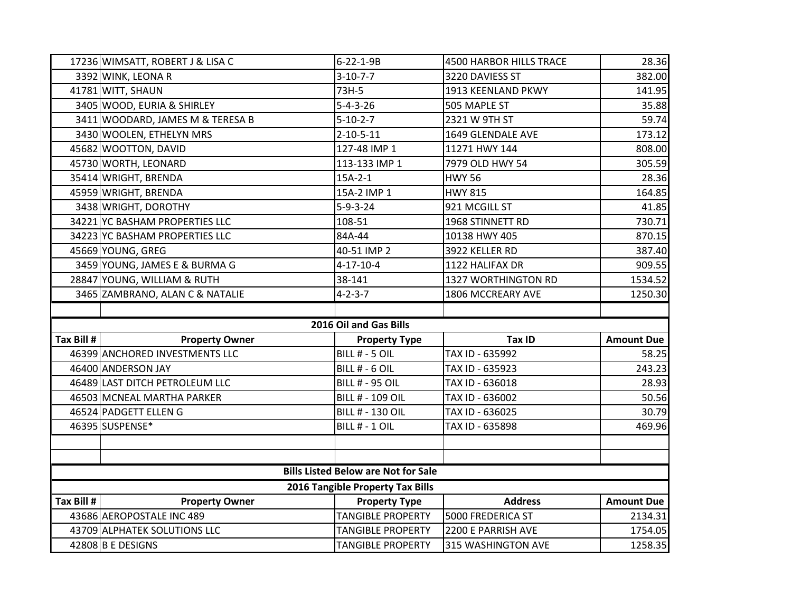|            | 17236 WIMSATT, ROBERT J & LISA C                  | 6-22-1-9B                                            | 4500 HARBOR HILLS TRACE                  | 28.36              |
|------------|---------------------------------------------------|------------------------------------------------------|------------------------------------------|--------------------|
|            | 3392 WINK, LEONA R                                | $3 - 10 - 7 - 7$                                     | 3220 DAVIESS ST                          | 382.00             |
|            | 41781 WITT, SHAUN                                 | 73H-5                                                | 1913 KEENLAND PKWY                       | 141.95             |
|            | 3405 WOOD, EURIA & SHIRLEY                        | $5 - 4 - 3 - 26$                                     | 505 MAPLE ST                             | 35.88              |
|            | 3411 WOODARD, JAMES M & TERESA B                  | $5 - 10 - 2 - 7$                                     | 2321 W 9TH ST                            | 59.74              |
|            | 3430 WOOLEN, ETHELYN MRS                          | $2 - 10 - 5 - 11$                                    | 1649 GLENDALE AVE                        | 173.12             |
|            | 45682 WOOTTON, DAVID                              | 127-48 IMP 1                                         | 11271 HWY 144                            | 808.00             |
|            | 45730 WORTH, LEONARD                              | 113-133 IMP 1                                        | 7979 OLD HWY 54                          | 305.59             |
|            | 35414 WRIGHT, BRENDA                              | $15A-2-1$                                            | <b>HWY 56</b>                            | 28.36              |
|            | 45959 WRIGHT, BRENDA                              | 15A-2 IMP 1                                          | <b>HWY 815</b>                           | 164.85             |
|            | 3438 WRIGHT, DOROTHY                              | $5 - 9 - 3 - 24$                                     | 921 MCGILL ST                            | 41.85              |
|            | 34221 YC BASHAM PROPERTIES LLC                    | 108-51                                               | 1968 STINNETT RD                         | 730.71             |
|            | 34223 YC BASHAM PROPERTIES LLC                    | 84A-44                                               | 10138 HWY 405                            | 870.15             |
|            | 45669 YOUNG, GREG                                 | 40-51 IMP 2                                          | 3922 KELLER RD                           | 387.40             |
|            | 3459 YOUNG, JAMES E & BURMA G                     | $4 - 17 - 10 - 4$                                    | 1122 HALIFAX DR                          | 909.55             |
|            | 28847 YOUNG, WILLIAM & RUTH                       | 38-141                                               | 1327 WORTHINGTON RD                      | 1534.52            |
|            | 3465 ZAMBRANO, ALAN C & NATALIE                   | $4 - 2 - 3 - 7$                                      | 1806 MCCREARY AVE                        | 1250.30            |
|            |                                                   |                                                      |                                          |                    |
|            |                                                   |                                                      |                                          |                    |
|            |                                                   | 2016 Oil and Gas Bills                               |                                          |                    |
| Tax Bill # | <b>Property Owner</b>                             | <b>Property Type</b>                                 | Tax ID                                   | <b>Amount Due</b>  |
|            | 46399 ANCHORED INVESTMENTS LLC                    | BILL # - 5 OIL                                       | TAX ID - 635992                          | 58.25              |
|            | 46400 ANDERSON JAY                                | BILL # - 6 OIL                                       | TAX ID - 635923                          | 243.23             |
|            | 46489 LAST DITCH PETROLEUM LLC                    | <b>BILL # - 95 OIL</b>                               | TAX ID - 636018                          | 28.93              |
|            | 46503 MCNEAL MARTHA PARKER                        | <b>BILL # - 109 OIL</b>                              | TAX ID - 636002                          | 50.56              |
|            | 46524 PADGETT ELLEN G                             | <b>BILL # - 130 OIL</b>                              | TAX ID - 636025                          | 30.79              |
|            | 46395 SUSPENSE*                                   | BILL # - 1 OIL                                       | TAX ID - 635898                          |                    |
|            |                                                   |                                                      |                                          |                    |
|            |                                                   |                                                      |                                          |                    |
|            |                                                   | <b>Bills Listed Below are Not for Sale</b>           |                                          |                    |
|            |                                                   | 2016 Tangible Property Tax Bills                     |                                          | 469.96             |
| Tax Bill # | <b>Property Owner</b>                             | <b>Property Type</b>                                 | <b>Address</b>                           | <b>Amount Due</b>  |
|            | 43686 AEROPOSTALE INC 489                         | <b>TANGIBLE PROPERTY</b>                             | 5000 FREDERICA ST                        | 2134.31            |
|            | 43709 ALPHATEK SOLUTIONS LLC<br>42808 B E DESIGNS | <b>TANGIBLE PROPERTY</b><br><b>TANGIBLE PROPERTY</b> | 2200 E PARRISH AVE<br>315 WASHINGTON AVE | 1754.05<br>1258.35 |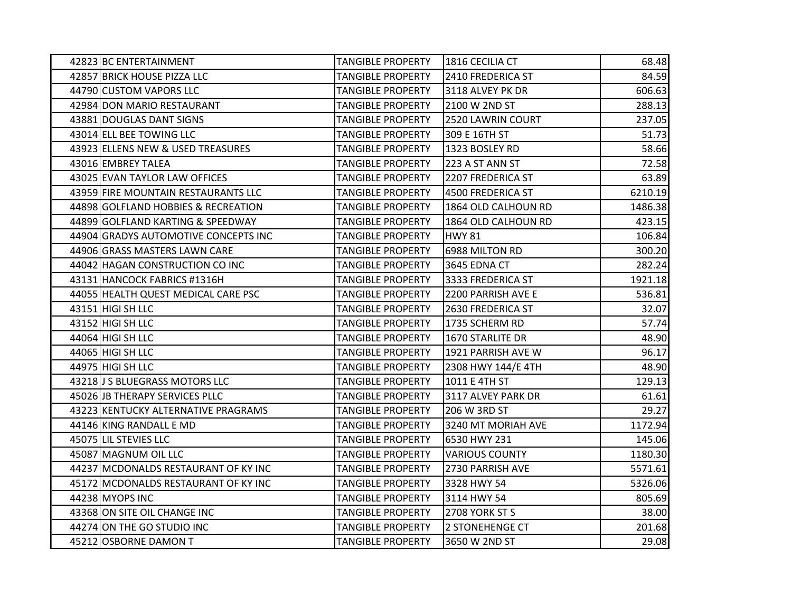| 42823 BC ENTERTAINMENT               | <b>TANGIBLE PROPERTY</b> | 1816 CECILIA CT       | 68.48   |
|--------------------------------------|--------------------------|-----------------------|---------|
| 42857 BRICK HOUSE PIZZA LLC          | <b>TANGIBLE PROPERTY</b> | 2410 FREDERICA ST     | 84.59   |
| 44790 CUSTOM VAPORS LLC              | <b>TANGIBLE PROPERTY</b> | 3118 ALVEY PK DR      | 606.63  |
| 42984 DON MARIO RESTAURANT           | <b>TANGIBLE PROPERTY</b> | 2100 W 2ND ST         | 288.13  |
| 43881 DOUGLAS DANT SIGNS             | <b>TANGIBLE PROPERTY</b> | 2520 LAWRIN COURT     | 237.05  |
| 43014 ELL BEE TOWING LLC             | <b>TANGIBLE PROPERTY</b> | 309 E 16TH ST         | 51.73   |
| 43923 ELLENS NEW & USED TREASURES    | <b>TANGIBLE PROPERTY</b> | 1323 BOSLEY RD        | 58.66   |
| 43016 EMBREY TALEA                   | <b>TANGIBLE PROPERTY</b> | 223 A ST ANN ST       | 72.58   |
| 43025 EVAN TAYLOR LAW OFFICES        | <b>TANGIBLE PROPERTY</b> | 2207 FREDERICA ST     | 63.89   |
| 43959 FIRE MOUNTAIN RESTAURANTS LLC  | <b>TANGIBLE PROPERTY</b> | 4500 FREDERICA ST     | 6210.19 |
| 44898 GOLFLAND HOBBIES & RECREATION  | <b>TANGIBLE PROPERTY</b> | 1864 OLD CALHOUN RD   | 1486.38 |
| 44899 GOLFLAND KARTING & SPEEDWAY    | <b>TANGIBLE PROPERTY</b> | 1864 OLD CALHOUN RD   | 423.15  |
| 44904 GRADYS AUTOMOTIVE CONCEPTS INC | <b>TANGIBLE PROPERTY</b> | <b>HWY 81</b>         | 106.84  |
| 44906 GRASS MASTERS LAWN CARE        | <b>TANGIBLE PROPERTY</b> | 6988 MILTON RD        | 300.20  |
| 44042 HAGAN CONSTRUCTION CO INC      | <b>TANGIBLE PROPERTY</b> | 3645 EDNA CT          | 282.24  |
| 43131 HANCOCK FABRICS #1316H         | <b>TANGIBLE PROPERTY</b> | 3333 FREDERICA ST     | 1921.18 |
| 44055 HEALTH QUEST MEDICAL CARE PSC  | <b>TANGIBLE PROPERTY</b> | 2200 PARRISH AVE E    | 536.81  |
| 43151 HIGI SH LLC                    | <b>TANGIBLE PROPERTY</b> | 2630 FREDERICA ST     | 32.07   |
| 43152 HIGI SH LLC                    | <b>TANGIBLE PROPERTY</b> | 1735 SCHERM RD        | 57.74   |
| 44064 HIGI SH LLC                    | <b>TANGIBLE PROPERTY</b> | 1670 STARLITE DR      | 48.90   |
| 44065 HIGI SH LLC                    | <b>TANGIBLE PROPERTY</b> | 1921 PARRISH AVE W    | 96.17   |
| 44975 HIGI SH LLC                    | <b>TANGIBLE PROPERTY</b> | 2308 HWY 144/E 4TH    | 48.90   |
| 43218 J S BLUEGRASS MOTORS LLC       | <b>TANGIBLE PROPERTY</b> | 1011 E 4TH ST         | 129.13  |
| 45026 JB THERAPY SERVICES PLLC       | <b>TANGIBLE PROPERTY</b> | 3117 ALVEY PARK DR    | 61.61   |
| 43223 KENTUCKY ALTERNATIVE PRAGRAMS  | <b>TANGIBLE PROPERTY</b> | 206 W 3RD ST          | 29.27   |
| 44146 KING RANDALL E MD              | <b>TANGIBLE PROPERTY</b> | 3240 MT MORIAH AVE    | 1172.94 |
| 45075 LIL STEVIES LLC                | <b>TANGIBLE PROPERTY</b> | 6530 HWY 231          | 145.06  |
| 45087 MAGNUM OIL LLC                 | <b>TANGIBLE PROPERTY</b> | <b>VARIOUS COUNTY</b> | 1180.30 |
| 44237 MCDONALDS RESTAURANT OF KY INC | <b>TANGIBLE PROPERTY</b> | 2730 PARRISH AVE      | 5571.61 |
| 45172 MCDONALDS RESTAURANT OF KY INC | <b>TANGIBLE PROPERTY</b> | 3328 HWY 54           | 5326.06 |
| 44238 MYOPS INC                      | <b>TANGIBLE PROPERTY</b> | 3114 HWY 54           | 805.69  |
| 43368 ON SITE OIL CHANGE INC         | <b>TANGIBLE PROPERTY</b> | 2708 YORK ST S        | 38.00   |
| 44274 ON THE GO STUDIO INC           | <b>TANGIBLE PROPERTY</b> | 2 STONEHENGE CT       | 201.68  |
| 45212 OSBORNE DAMON T                | <b>TANGIBLE PROPERTY</b> | 3650 W 2ND ST         | 29.08   |